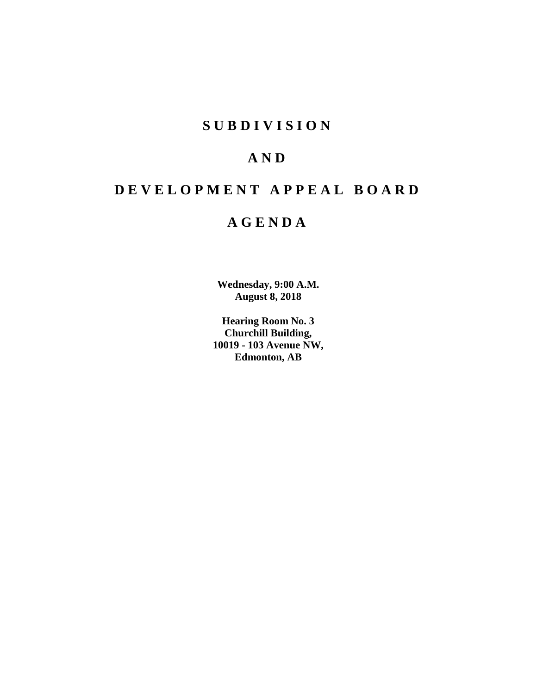# **SUBDIVISION**

# **AND**

# **DEVELOPMENT APPEAL BOARD**

# **AGENDA**

**Wednesday, 9:00 A.M. August 8, 2018**

**Hearing Room No. 3 Churchill Building, 10019 - 103 Avenue NW, Edmonton, AB**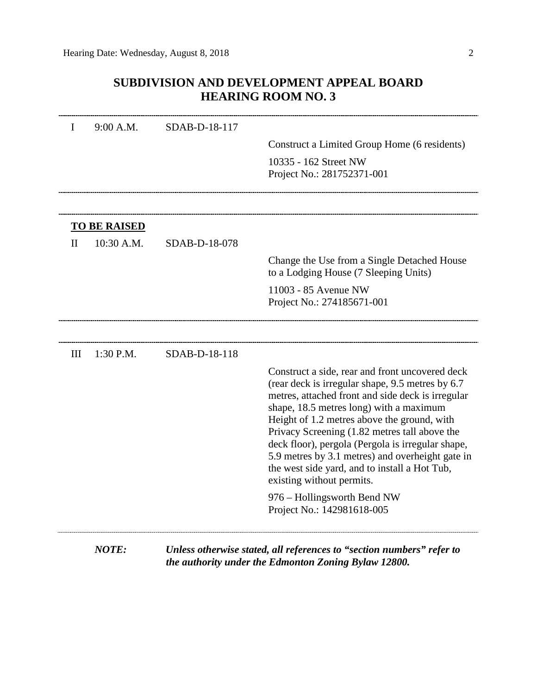# **SUBDIVISION AND DEVELOPMENT APPEAL BOARD HEARING ROOM NO. 3**

| I   | 9:00 A.M.           | SDAB-D-18-117 |                                                                                                                                                                                                                                                                                                                                                                                                                                                                                             |
|-----|---------------------|---------------|---------------------------------------------------------------------------------------------------------------------------------------------------------------------------------------------------------------------------------------------------------------------------------------------------------------------------------------------------------------------------------------------------------------------------------------------------------------------------------------------|
|     |                     |               | Construct a Limited Group Home (6 residents)                                                                                                                                                                                                                                                                                                                                                                                                                                                |
|     |                     |               | 10335 - 162 Street NW                                                                                                                                                                                                                                                                                                                                                                                                                                                                       |
|     |                     |               | Project No.: 281752371-001                                                                                                                                                                                                                                                                                                                                                                                                                                                                  |
|     |                     |               |                                                                                                                                                                                                                                                                                                                                                                                                                                                                                             |
|     | <b>TO BE RAISED</b> |               |                                                                                                                                                                                                                                                                                                                                                                                                                                                                                             |
| П   | 10:30 A.M.          | SDAB-D-18-078 |                                                                                                                                                                                                                                                                                                                                                                                                                                                                                             |
|     |                     |               | Change the Use from a Single Detached House<br>to a Lodging House (7 Sleeping Units)                                                                                                                                                                                                                                                                                                                                                                                                        |
|     |                     |               | 11003 - 85 Avenue NW<br>Project No.: 274185671-001                                                                                                                                                                                                                                                                                                                                                                                                                                          |
|     |                     |               |                                                                                                                                                                                                                                                                                                                                                                                                                                                                                             |
| III | 1:30 P.M.           | SDAB-D-18-118 |                                                                                                                                                                                                                                                                                                                                                                                                                                                                                             |
|     |                     |               | Construct a side, rear and front uncovered deck<br>(rear deck is irregular shape, 9.5 metres by 6.7)<br>metres, attached front and side deck is irregular<br>shape, 18.5 metres long) with a maximum<br>Height of 1.2 metres above the ground, with<br>Privacy Screening (1.82 metres tall above the<br>deck floor), pergola (Pergola is irregular shape,<br>5.9 metres by 3.1 metres) and overheight gate in<br>the west side yard, and to install a Hot Tub,<br>existing without permits. |
|     |                     |               | 976 – Hollingsworth Bend NW<br>Project No.: 142981618-005                                                                                                                                                                                                                                                                                                                                                                                                                                   |
|     | <b>NOTE:</b>        |               | Unless otherwise stated, all references to "section numbers" refer to<br>the authority under the Edmonton Zoning Bylaw 12800.                                                                                                                                                                                                                                                                                                                                                               |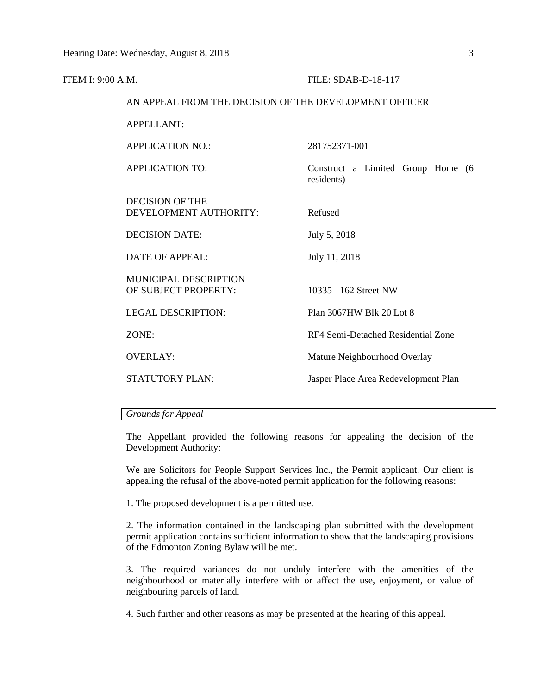| ITEM I: 9:00 A.M. |                                                        | FILE: SDAB-D-18-117                             |
|-------------------|--------------------------------------------------------|-------------------------------------------------|
|                   | AN APPEAL FROM THE DECISION OF THE DEVELOPMENT OFFICER |                                                 |
|                   | <b>APPELLANT:</b>                                      |                                                 |
|                   | <b>APPLICATION NO.:</b>                                | 281752371-001                                   |
|                   | <b>APPLICATION TO:</b>                                 | Construct a Limited Group Home (6<br>residents) |
|                   | <b>DECISION OF THE</b><br>DEVELOPMENT AUTHORITY:       | Refused                                         |
|                   | <b>DECISION DATE:</b>                                  | July 5, 2018                                    |
|                   | <b>DATE OF APPEAL:</b>                                 | July 11, 2018                                   |
|                   | <b>MUNICIPAL DESCRIPTION</b><br>OF SUBJECT PROPERTY:   | 10335 - 162 Street NW                           |
|                   | <b>LEGAL DESCRIPTION:</b>                              | Plan 3067HW Blk 20 Lot 8                        |
|                   | ZONE:                                                  | RF4 Semi-Detached Residential Zone              |
|                   | <b>OVERLAY:</b>                                        | Mature Neighbourhood Overlay                    |
|                   | <b>STATUTORY PLAN:</b>                                 | Jasper Place Area Redevelopment Plan            |
|                   |                                                        |                                                 |

# *Grounds for Appeal*

The Appellant provided the following reasons for appealing the decision of the Development Authority:

We are Solicitors for People Support Services Inc., the Permit applicant. Our client is appealing the refusal of the above-noted permit application for the following reasons:

1. The proposed development is a permitted use.

2. The information contained in the landscaping plan submitted with the development permit application contains sufficient information to show that the landscaping provisions of the Edmonton Zoning Bylaw will be met.

3. The required variances do not unduly interfere with the amenities of the neighbourhood or materially interfere with or affect the use, enjoyment, or value of neighbouring parcels of land.

4. Such further and other reasons as may be presented at the hearing of this appeal.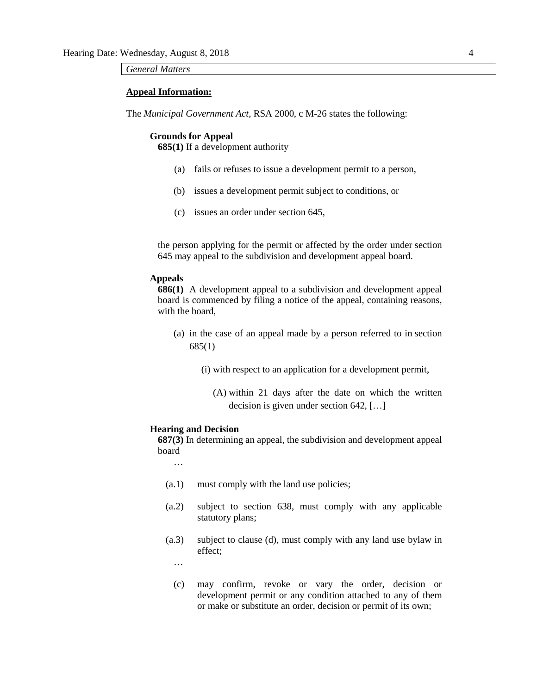# *General Matters*

### **Appeal Information:**

The *Municipal Government Act*, RSA 2000, c M-26 states the following:

#### **Grounds for Appeal**

**685(1)** If a development authority

- (a) fails or refuses to issue a development permit to a person,
- (b) issues a development permit subject to conditions, or
- (c) issues an order under section 645,

the person applying for the permit or affected by the order under section 645 may appeal to the subdivision and development appeal board.

#### **Appeals**

**686(1)** A development appeal to a subdivision and development appeal board is commenced by filing a notice of the appeal, containing reasons, with the board,

- (a) in the case of an appeal made by a person referred to in section 685(1)
	- (i) with respect to an application for a development permit,

(A) within 21 days after the date on which the written decision is given under section 642, […]

#### **Hearing and Decision**

**687(3)** In determining an appeal, the subdivision and development appeal board

…

- (a.1) must comply with the land use policies;
- (a.2) subject to section 638, must comply with any applicable statutory plans;
- (a.3) subject to clause (d), must comply with any land use bylaw in effect;

…

(c) may confirm, revoke or vary the order, decision or development permit or any condition attached to any of them or make or substitute an order, decision or permit of its own;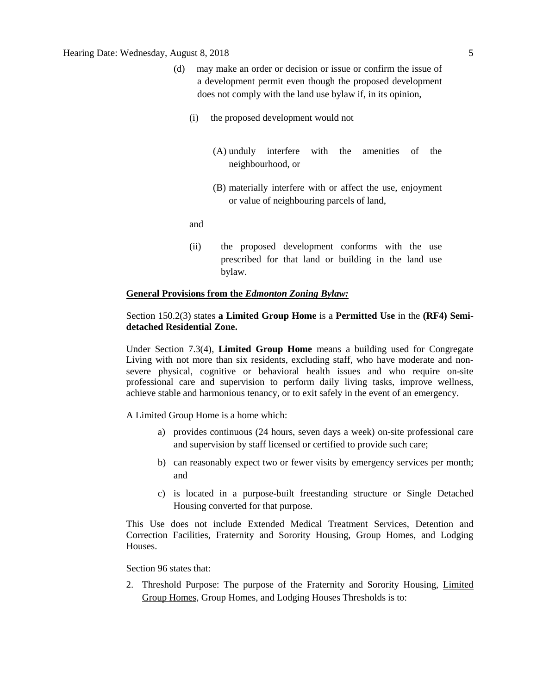# Hearing Date: Wednesday, August 8, 2018 5

- (d) may make an order or decision or issue or confirm the issue of a development permit even though the proposed development does not comply with the land use bylaw if, in its opinion,
	- (i) the proposed development would not
		- (A) unduly interfere with the amenities of the neighbourhood, or
		- (B) materially interfere with or affect the use, enjoyment or value of neighbouring parcels of land,

and

(ii) the proposed development conforms with the use prescribed for that land or building in the land use bylaw.

# **General Provisions from the** *Edmonton Zoning Bylaw:*

# Section 150.2(3) states **a Limited Group Home** is a **Permitted Use** in the **(RF4) Semidetached Residential Zone.**

Under Section 7.3(4), **Limited Group Home** means a building used for Congregate Living with not more than six residents, excluding staff, who have moderate and nonsevere physical, cognitive or behavioral health issues and who require on-site professional care and supervision to perform daily living tasks, improve wellness, achieve stable and harmonious tenancy, or to exit safely in the event of an emergency.

A Limited Group Home is a home which:

- a) provides continuous (24 hours, seven days a week) on-site professional care and supervision by staff licensed or certified to provide such care;
- b) can reasonably expect two or fewer visits by emergency services per month; and
- c) is located in a purpose-built freestanding structure or Single Detached Housing converted for that purpose.

This Use does not include Extended Medical Treatment Services, Detention and Correction Facilities, Fraternity and Sorority Housing, Group Homes, and Lodging Houses.

Section 96 states that:

2. Threshold Purpose: The purpose of the Fraternity and Sorority Housing, Limited Group Homes, Group Homes, and Lodging Houses Thresholds is to: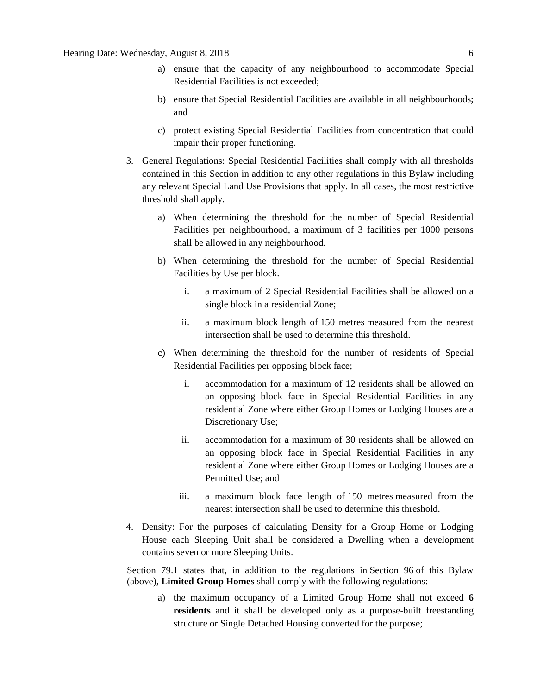- a) ensure that the capacity of any neighbourhood to accommodate Special Residential Facilities is not exceeded;
- b) ensure that Special Residential Facilities are available in all neighbourhoods; and
- c) protect existing Special Residential Facilities from concentration that could impair their proper functioning.
- 3. General Regulations: Special Residential Facilities shall comply with all thresholds contained in this Section in addition to any other regulations in this Bylaw including any relevant Special Land Use Provisions that apply. In all cases, the most restrictive threshold shall apply.
	- a) When determining the threshold for the number of Special Residential Facilities per neighbourhood, a maximum of 3 facilities per 1000 persons shall be allowed in any neighbourhood.
	- b) When determining the threshold for the number of Special Residential Facilities by Use per block.
		- i. a maximum of 2 Special Residential Facilities shall be allowed on a single block in a residential Zone;
		- ii. a maximum block length of [150 me](javascript:void(0);)tres measured from the nearest intersection shall be used to determine this threshold.
	- c) When determining the threshold for the number of residents of Special Residential Facilities per opposing block face;
		- i. accommodation for a maximum of 12 residents shall be allowed on an opposing block face in Special Residential Facilities in any residential Zone where either Group Homes or Lodging Houses are a Discretionary Use;
		- ii. accommodation for a maximum of 30 residents shall be allowed on an opposing block face in Special Residential Facilities in any residential Zone where either Group Homes or Lodging Houses are a Permitted Use; and
		- iii. a maximum block face length of [150 me](javascript:void(0);)tres measured from the nearest intersection shall be used to determine this threshold.
- 4. Density: For the purposes of calculating Density for a Group Home or Lodging House each Sleeping Unit shall be considered a Dwelling when a development contains seven or more Sleeping Units.

Section 79.1 states that, in addition to the regulations in [Section 96](https://webdocs.edmonton.ca/InfraPlan/zoningbylaw/ZoningBylaw/Part1/Special_Land/96._Fraternity_and_Sorority_Housing,_Limited_Group_Homes,_Group_Homes,_and_Lodging_Houses_Thresholds.htm) of this Bylaw (above), **Limited Group Homes** shall comply with the following regulations:

a) the maximum occupancy of a Limited Group Home shall not exceed **6 residents** and it shall be developed only as a purpose-built freestanding structure or Single Detached Housing converted for the purpose;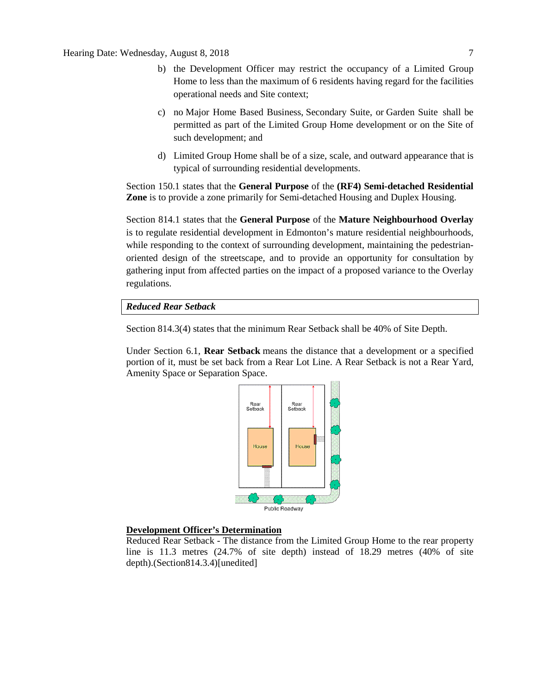Hearing Date: Wednesday, August 8, 2018 7

- b) the Development Officer may restrict the occupancy of a Limited Group Home to less than the maximum of 6 residents having regard for the facilities operational needs and Site context;
- c) no [Major Home Based Business,](javascript:void(0);) [Secondary Suite,](javascript:void(0);) or [Garden Suite](javascript:void(0);) shall be permitted as part of the Limited Group Home development or on the Site of such development; and
- d) Limited Group Home shall be of a size, scale, and outward appearance that is typical of surrounding residential developments.

Section 150.1 states that the **General Purpose** of the **(RF4) Semi-detached Residential Zone** is to provide a zone primarily for Semi-detached Housing and Duplex Housing.

Section 814.1 states that the **General Purpose** of the **Mature Neighbourhood Overlay**  is to regulate residential development in Edmonton's mature residential neighbourhoods, while responding to the context of surrounding development, maintaining the pedestrianoriented design of the streetscape, and to provide an opportunity for consultation by gathering input from affected parties on the impact of a proposed variance to the Overlay regulations.

*Reduced Rear Setback* 

Section 814.3(4) states that the minimum Rear Setback shall be 40% of Site Depth.

Under Section 6.1, **Rear Setback** means the distance that a development or a specified portion of it, must be set back from a Rear Lot Line. A Rear Setback is not a Rear Yard, Amenity Space or Separation Space.



### **Development Officer's Determination**

Reduced Rear Setback - The distance from the Limited Group Home to the rear property line is 11.3 metres (24.7% of site depth) instead of 18.29 metres (40% of site depth).(Section814.3.4)[unedited]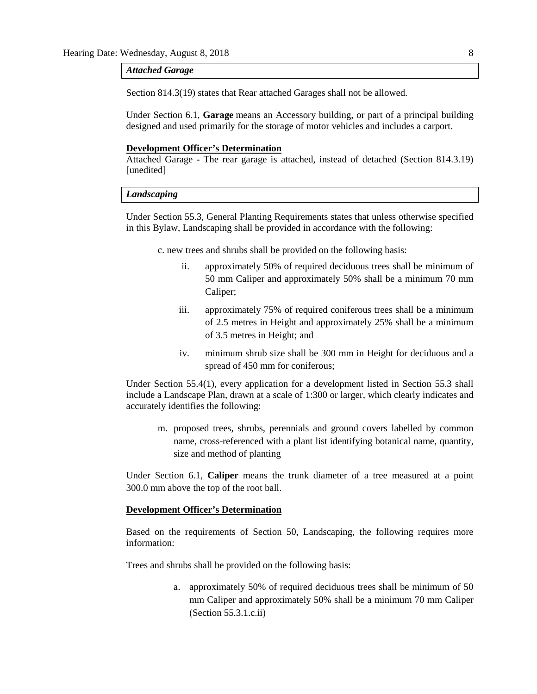#### *Attached Garage*

Section 814.3(19) states that Rear attached Garages shall not be allowed.

Under Section 6.1, **Garage** means an Accessory building, or part of a principal building designed and used primarily for the storage of motor vehicles and includes a carport.

## **Development Officer's Determination**

Attached Garage - The rear garage is attached, instead of detached (Section 814.3.19) [unedited]

#### *Landscaping*

Under Section 55.3, General Planting Requirements states that unless otherwise specified in this Bylaw, Landscaping shall be provided in accordance with the following:

c. new trees and shrubs shall be provided on the following basis:

- ii. approximately 50% of required deciduous trees shall be minimum of 50 mm Caliper and approximately 50% shall be a minimum 70 mm Caliper;
- iii. approximately 75% of required coniferous trees shall be a minimum of 2.5 metres in Height and approximately 25% shall be a minimum of 3.5 metres in Height; and
- iv. minimum shrub size shall be 300 mm in Height for deciduous and a spread of 450 mm for coniferous;

Under Section 55.4(1), every application for a development listed in Section 55.3 shall include a Landscape Plan, drawn at a scale of 1:300 or larger, which clearly indicates and accurately identifies the following:

m. proposed trees, shrubs, perennials and ground covers labelled by common name, cross-referenced with a plant list identifying botanical name, quantity, size and method of planting

Under Section 6.1, **Caliper** means the trunk diameter of a tree measured at a point 300.0 mm above the top of the root ball.

#### **Development Officer's Determination**

Based on the requirements of Section 50, Landscaping, the following requires more information:

Trees and shrubs shall be provided on the following basis:

a. approximately 50% of required deciduous trees shall be minimum of 50 mm Caliper and approximately 50% shall be a minimum 70 mm Caliper (Section 55.3.1.c.ii)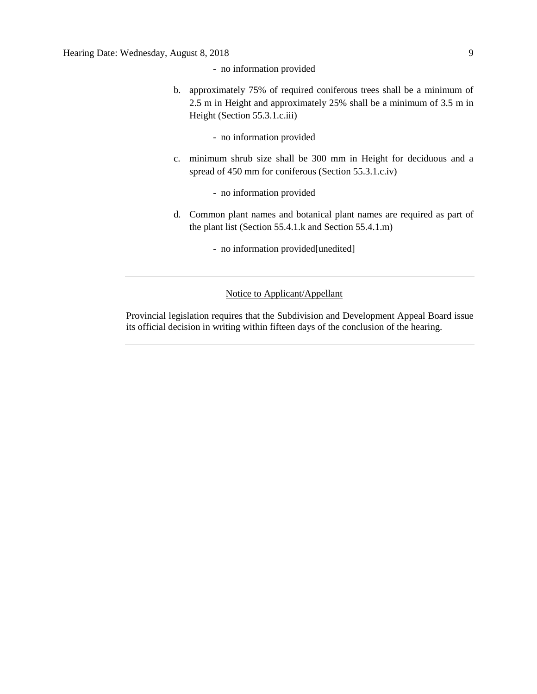- no information provided
- b. approximately 75% of required coniferous trees shall be a minimum of 2.5 m in Height and approximately 25% shall be a minimum of 3.5 m in Height (Section 55.3.1.c.iii)
	- no information provided
- c. minimum shrub size shall be 300 mm in Height for deciduous and a spread of 450 mm for coniferous (Section 55.3.1.c.iv)
	- no information provided
- d. Common plant names and botanical plant names are required as part of the plant list (Section 55.4.1.k and Section 55.4.1.m)
	- no information provided[unedited]

# Notice to Applicant/Appellant

Provincial legislation requires that the Subdivision and Development Appeal Board issue its official decision in writing within fifteen days of the conclusion of the hearing.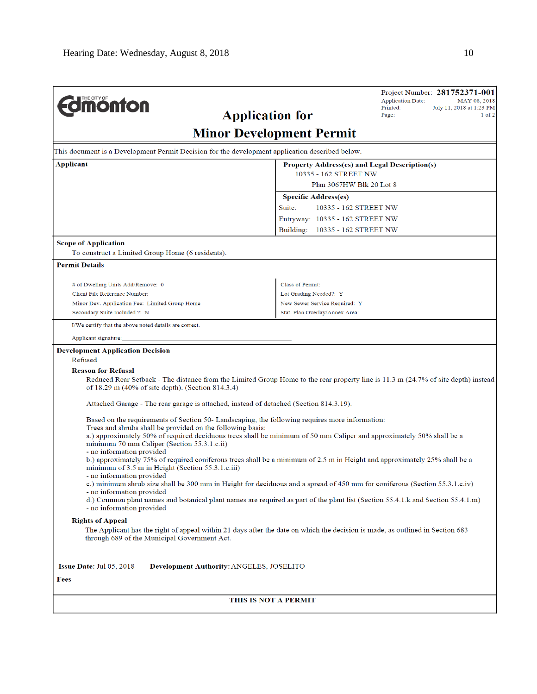| <b>Umonton</b>                                                                                                                                                                                                                                                                                                                                                                                                                                                                                                                                                                                                                                                                                                                                                                                                                                                                                                                                                                                                                                                                                                                                                                                                                                        | <b>Application for</b>                               | Project Number: 281752371-001<br><b>Application Date:</b><br>MAY 08, 2018<br>Printed:<br>July 11, 2018 at 1:23 PM<br>Page:<br>$1$ of $2$ |  |  |  |
|-------------------------------------------------------------------------------------------------------------------------------------------------------------------------------------------------------------------------------------------------------------------------------------------------------------------------------------------------------------------------------------------------------------------------------------------------------------------------------------------------------------------------------------------------------------------------------------------------------------------------------------------------------------------------------------------------------------------------------------------------------------------------------------------------------------------------------------------------------------------------------------------------------------------------------------------------------------------------------------------------------------------------------------------------------------------------------------------------------------------------------------------------------------------------------------------------------------------------------------------------------|------------------------------------------------------|------------------------------------------------------------------------------------------------------------------------------------------|--|--|--|
|                                                                                                                                                                                                                                                                                                                                                                                                                                                                                                                                                                                                                                                                                                                                                                                                                                                                                                                                                                                                                                                                                                                                                                                                                                                       | <b>Minor Development Permit</b>                      |                                                                                                                                          |  |  |  |
| This document is a Development Permit Decision for the development application described below.                                                                                                                                                                                                                                                                                                                                                                                                                                                                                                                                                                                                                                                                                                                                                                                                                                                                                                                                                                                                                                                                                                                                                       |                                                      |                                                                                                                                          |  |  |  |
| Applicant                                                                                                                                                                                                                                                                                                                                                                                                                                                                                                                                                                                                                                                                                                                                                                                                                                                                                                                                                                                                                                                                                                                                                                                                                                             | <b>Property Address(es) and Legal Description(s)</b> |                                                                                                                                          |  |  |  |
|                                                                                                                                                                                                                                                                                                                                                                                                                                                                                                                                                                                                                                                                                                                                                                                                                                                                                                                                                                                                                                                                                                                                                                                                                                                       | 10335 - 162 STREET NW<br>Plan 3067HW Blk 20 Lot 8    |                                                                                                                                          |  |  |  |
|                                                                                                                                                                                                                                                                                                                                                                                                                                                                                                                                                                                                                                                                                                                                                                                                                                                                                                                                                                                                                                                                                                                                                                                                                                                       |                                                      |                                                                                                                                          |  |  |  |
|                                                                                                                                                                                                                                                                                                                                                                                                                                                                                                                                                                                                                                                                                                                                                                                                                                                                                                                                                                                                                                                                                                                                                                                                                                                       | Specific Address(es)<br>Suite:                       | 10335 - 162 STREET NW                                                                                                                    |  |  |  |
|                                                                                                                                                                                                                                                                                                                                                                                                                                                                                                                                                                                                                                                                                                                                                                                                                                                                                                                                                                                                                                                                                                                                                                                                                                                       | Entryway: 10335 - 162 STREET NW                      |                                                                                                                                          |  |  |  |
|                                                                                                                                                                                                                                                                                                                                                                                                                                                                                                                                                                                                                                                                                                                                                                                                                                                                                                                                                                                                                                                                                                                                                                                                                                                       | Building:<br>10335 - 162 STREET NW                   |                                                                                                                                          |  |  |  |
| <b>Scope of Application</b>                                                                                                                                                                                                                                                                                                                                                                                                                                                                                                                                                                                                                                                                                                                                                                                                                                                                                                                                                                                                                                                                                                                                                                                                                           |                                                      |                                                                                                                                          |  |  |  |
| To construct a Limited Group Home (6 residents).                                                                                                                                                                                                                                                                                                                                                                                                                                                                                                                                                                                                                                                                                                                                                                                                                                                                                                                                                                                                                                                                                                                                                                                                      |                                                      |                                                                                                                                          |  |  |  |
| <b>Permit Details</b>                                                                                                                                                                                                                                                                                                                                                                                                                                                                                                                                                                                                                                                                                                                                                                                                                                                                                                                                                                                                                                                                                                                                                                                                                                 |                                                      |                                                                                                                                          |  |  |  |
| # of Dwelling Units Add/Remove: 0                                                                                                                                                                                                                                                                                                                                                                                                                                                                                                                                                                                                                                                                                                                                                                                                                                                                                                                                                                                                                                                                                                                                                                                                                     | Class of Permit:                                     |                                                                                                                                          |  |  |  |
| Client File Reference Number:                                                                                                                                                                                                                                                                                                                                                                                                                                                                                                                                                                                                                                                                                                                                                                                                                                                                                                                                                                                                                                                                                                                                                                                                                         | Lot Grading Needed?: Y                               |                                                                                                                                          |  |  |  |
| Minor Dev. Application Fee: Limited Group Home                                                                                                                                                                                                                                                                                                                                                                                                                                                                                                                                                                                                                                                                                                                                                                                                                                                                                                                                                                                                                                                                                                                                                                                                        | New Sewer Service Required: Y                        |                                                                                                                                          |  |  |  |
| Secondary Suite Included ?: N                                                                                                                                                                                                                                                                                                                                                                                                                                                                                                                                                                                                                                                                                                                                                                                                                                                                                                                                                                                                                                                                                                                                                                                                                         | Stat. Plan Overlay/Annex Area:                       |                                                                                                                                          |  |  |  |
| I/We certify that the above noted details are correct.                                                                                                                                                                                                                                                                                                                                                                                                                                                                                                                                                                                                                                                                                                                                                                                                                                                                                                                                                                                                                                                                                                                                                                                                |                                                      |                                                                                                                                          |  |  |  |
| Applicant signature:                                                                                                                                                                                                                                                                                                                                                                                                                                                                                                                                                                                                                                                                                                                                                                                                                                                                                                                                                                                                                                                                                                                                                                                                                                  |                                                      |                                                                                                                                          |  |  |  |
| <b>Reason for Refusal</b><br>Reduced Rear Setback - The distance from the Limited Group Home to the rear property line is 11.3 m (24.7% of site depth) instead<br>of 18.29 m (40% of site depth). (Section 814.3.4)<br>Attached Garage - The rear garage is attached, instead of detached (Section 814.3.19).<br>Based on the requirements of Section 50-Landscaping, the following requires more information:<br>Trees and shrubs shall be provided on the following basis:<br>a.) approximately 50% of required deciduous trees shall be minimum of 50 mm Caliper and approximately 50% shall be a<br>minimum 70 mm Caliper (Section 55.3.1.c.ii)<br>- no information provided<br>b.) approximately 75% of required coniferous trees shall be a minimum of 2.5 m in Height and approximately 25% shall be a<br>minimum of 3.5 m in Height (Section 55.3.1.c.iii)<br>- no information provided<br>c.) minimum shrub size shall be 300 mm in Height for deciduous and a spread of 450 mm for coniferous (Section 55.3.1.c.iv)<br>- no information provided<br>d.) Common plant names and botanical plant names are required as part of the plant list (Section 55.4.1.k and Section 55.4.1.m)<br>- no information provided<br><b>Rights of Appeal</b> |                                                      |                                                                                                                                          |  |  |  |
| The Applicant has the right of appeal within 21 days after the date on which the decision is made, as outlined in Section 683<br>through 689 of the Municipal Government Act.<br>Issue Date: Jul 05, 2018<br>Development Authority: ANGELES, JOSELITO                                                                                                                                                                                                                                                                                                                                                                                                                                                                                                                                                                                                                                                                                                                                                                                                                                                                                                                                                                                                 |                                                      |                                                                                                                                          |  |  |  |
| Fees                                                                                                                                                                                                                                                                                                                                                                                                                                                                                                                                                                                                                                                                                                                                                                                                                                                                                                                                                                                                                                                                                                                                                                                                                                                  |                                                      |                                                                                                                                          |  |  |  |
|                                                                                                                                                                                                                                                                                                                                                                                                                                                                                                                                                                                                                                                                                                                                                                                                                                                                                                                                                                                                                                                                                                                                                                                                                                                       | THIS IS NOT A PERMIT                                 |                                                                                                                                          |  |  |  |
|                                                                                                                                                                                                                                                                                                                                                                                                                                                                                                                                                                                                                                                                                                                                                                                                                                                                                                                                                                                                                                                                                                                                                                                                                                                       |                                                      |                                                                                                                                          |  |  |  |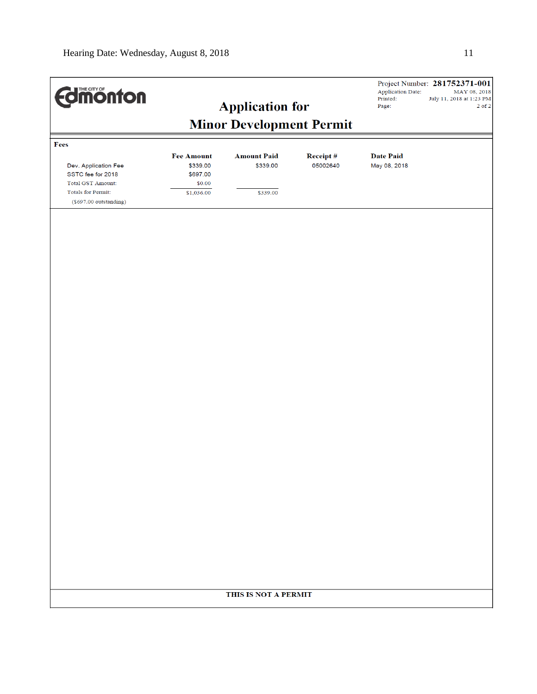| <b>Edition from Settings</b>                                                    |                                           | <b>Application for</b>          |                      | <b>Application Date:</b><br>Printed:<br>Page: | Project Number: 281752371-001<br>MAY 08, 2018<br>July 11, 2018 at 1:23 PM<br>$2$ of $2$ |
|---------------------------------------------------------------------------------|-------------------------------------------|---------------------------------|----------------------|-----------------------------------------------|-----------------------------------------------------------------------------------------|
|                                                                                 |                                           | <b>Minor Development Permit</b> |                      |                                               |                                                                                         |
| Fees                                                                            |                                           |                                 |                      |                                               |                                                                                         |
| Dev. Application Fee<br>SSTC fee for 2018                                       | <b>Fee Amount</b><br>\$339.00<br>\$697.00 | <b>Amount Paid</b><br>\$339.00  | Receipt#<br>05002640 | <b>Date Paid</b><br>May 08, 2018              |                                                                                         |
| <b>Total GST Amount:</b><br><b>Totals for Permit:</b><br>(\$697.00 outstanding) | \$0.00<br>\$1,036.00                      | \$339.00                        |                      |                                               |                                                                                         |
|                                                                                 |                                           |                                 |                      |                                               |                                                                                         |
|                                                                                 |                                           |                                 |                      |                                               |                                                                                         |
|                                                                                 |                                           |                                 |                      |                                               |                                                                                         |
|                                                                                 |                                           |                                 |                      |                                               |                                                                                         |
|                                                                                 |                                           |                                 |                      |                                               |                                                                                         |
|                                                                                 |                                           |                                 |                      |                                               |                                                                                         |
|                                                                                 |                                           |                                 |                      |                                               |                                                                                         |
|                                                                                 |                                           |                                 |                      |                                               |                                                                                         |
|                                                                                 |                                           |                                 |                      |                                               |                                                                                         |
|                                                                                 |                                           |                                 |                      |                                               |                                                                                         |
|                                                                                 |                                           |                                 |                      |                                               |                                                                                         |
|                                                                                 |                                           |                                 |                      |                                               |                                                                                         |
|                                                                                 |                                           |                                 |                      |                                               |                                                                                         |
|                                                                                 |                                           | THIS IS NOT A PERMIT            |                      |                                               |                                                                                         |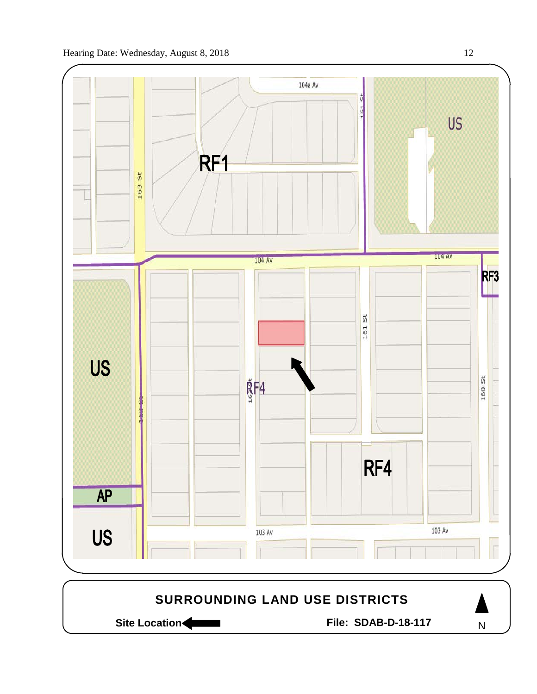

Site Location **Community Contracts** File: SDAB-D-18-117

N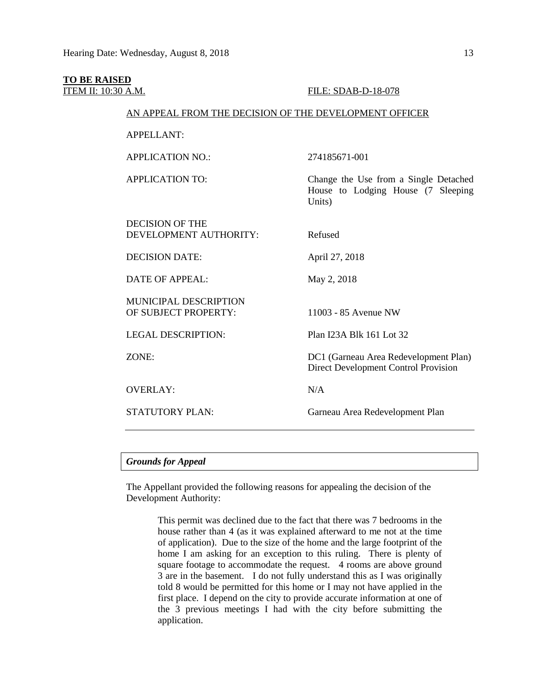# **TO BE RAISED**

## **ITEM II: 10:30 A.M. FILE: SDAB-D-18-078**

#### AN APPEAL FROM THE DECISION OF THE DEVELOPMENT OFFICER

APPELLANT:

APPLICATION NO.: 274185671-001

DECISION OF THE DEVELOPMENT AUTHORITY: Refused

DECISION DATE: April 27, 2018

DATE OF APPEAL: May 2, 2018

MUNICIPAL DESCRIPTION OF SUBJECT PROPERTY: 11003 - 85 Avenue NW

OVERLAY: N/A

APPLICATION TO: Change the Use from a Single Detached House to Lodging House (7 Sleeping Units)

LEGAL DESCRIPTION: Plan I23A Blk 161 Lot 32

ZONE: DC1 (Garneau Area Redevelopment Plan) Direct Development Control Provision

STATUTORY PLAN: Garneau Area Redevelopment Plan

#### *Grounds for Appeal*

The Appellant provided the following reasons for appealing the decision of the Development Authority:

> This permit was declined due to the fact that there was 7 bedrooms in the house rather than 4 (as it was explained afterward to me not at the time of application). Due to the size of the home and the large footprint of the home I am asking for an exception to this ruling. There is plenty of square footage to accommodate the request. 4 rooms are above ground 3 are in the basement. I do not fully understand this as I was originally told 8 would be permitted for this home or I may not have applied in the first place. I depend on the city to provide accurate information at one of the 3 previous meetings I had with the city before submitting the application.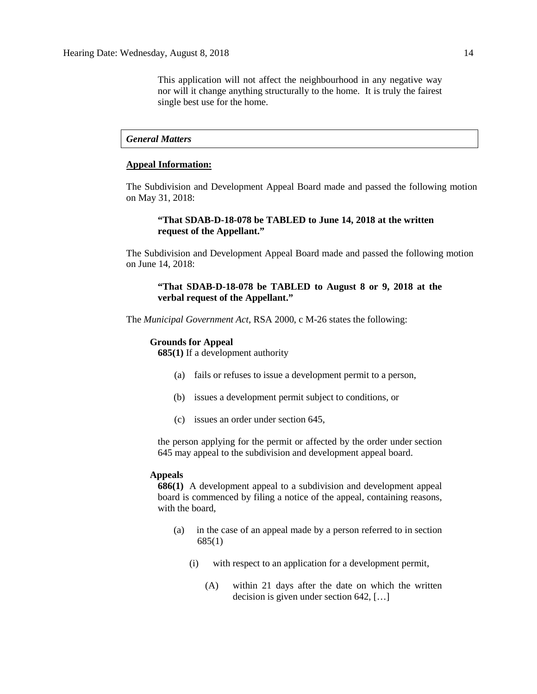This application will not affect the neighbourhood in any negative way nor will it change anything structurally to the home. It is truly the fairest single best use for the home.

#### *General Matters*

### **Appeal Information:**

The Subdivision and Development Appeal Board made and passed the following motion on May 31, 2018:

# **"That SDAB-D-18-078 be TABLED to June 14, 2018 at the written request of the Appellant."**

The Subdivision and Development Appeal Board made and passed the following motion on June 14, 2018:

# **"That SDAB-D-18-078 be TABLED to August 8 or 9, 2018 at the verbal request of the Appellant."**

The *Municipal Government Act*, RSA 2000, c M-26 states the following:

#### **Grounds for Appeal**

**685(1)** If a development authority

- (a) fails or refuses to issue a development permit to a person,
- (b) issues a development permit subject to conditions, or
- (c) issues an order under section 645,

the person applying for the permit or affected by the order under section 645 may appeal to the subdivision and development appeal board.

#### **Appeals**

**686(1)** A development appeal to a subdivision and development appeal board is commenced by filing a notice of the appeal, containing reasons, with the board,

- (a) in the case of an appeal made by a person referred to in section 685(1)
	- (i) with respect to an application for a development permit,
		- (A) within 21 days after the date on which the written decision is given under section 642, […]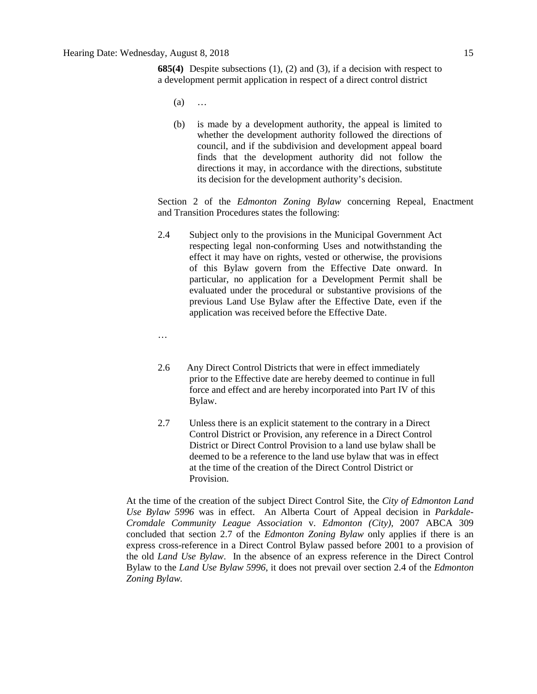**685(4)** Despite subsections (1), (2) and (3), if a decision with respect to a development permit application in respect of a direct control district

- (a) …
- (b) is made by a development authority, the appeal is limited to whether the development authority followed the directions of council, and if the subdivision and development appeal board finds that the development authority did not follow the directions it may, in accordance with the directions, substitute its decision for the development authority's decision.

Section 2 of the *Edmonton Zoning Bylaw* concerning Repeal, Enactment and Transition Procedures states the following:

- 2.4 Subject only to the provisions in the Municipal Government Act respecting legal non-conforming Uses and notwithstanding the effect it may have on rights, vested or otherwise, the provisions of this Bylaw govern from the Effective Date onward. In particular, no application for a Development Permit shall be evaluated under the procedural or substantive provisions of the previous Land Use Bylaw after the Effective Date, even if the application was received before the Effective Date.
- …
- 2.6 Any Direct Control Districts that were in effect immediately prior to the Effective date are hereby deemed to continue in full force and effect and are hereby incorporated into Part IV of this Bylaw.
- 2.7 Unless there is an explicit statement to the contrary in a Direct Control District or Provision, any reference in a Direct Control District or Direct Control Provision to a land use bylaw shall be deemed to be a reference to the land use bylaw that was in effect at the time of the creation of the Direct Control District or Provision.

At the time of the creation of the subject Direct Control Site, the *City of Edmonton Land Use Bylaw 5996* was in effect. An Alberta Court of Appeal decision in *Parkdale-Cromdale Community League Association* v. *Edmonton (City),* 2007 ABCA 309 concluded that section 2.7 of the *Edmonton Zoning Bylaw* only applies if there is an express cross-reference in a Direct Control Bylaw passed before 2001 to a provision of the old *Land Use Bylaw*. In the absence of an express reference in the Direct Control Bylaw to the *Land Use Bylaw 5996*, it does not prevail over section 2.4 of the *Edmonton Zoning Bylaw.*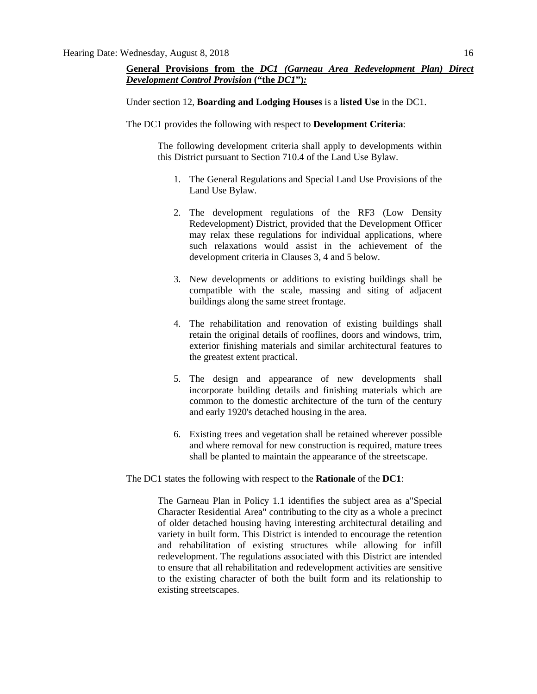# **General Provisions from the** *DC1 (Garneau Area Redevelopment Plan) Direct Development Control Provision* **("the** *DC1***")***:*

Under section 12, **Boarding and Lodging Houses** is a **listed Use** in the DC1.

The DC1 provides the following with respect to **Development Criteria**:

The following development criteria shall apply to developments within this District pursuant to Section 710.4 of the Land Use Bylaw.

- 1. The General Regulations and Special Land Use Provisions of the Land Use Bylaw.
- 2. The development regulations of the RF3 (Low Density Redevelopment) District, provided that the Development Officer may relax these regulations for individual applications, where such relaxations would assist in the achievement of the development criteria in Clauses 3, 4 and 5 below.
- 3. New developments or additions to existing buildings shall be compatible with the scale, massing and siting of adjacent buildings along the same street frontage.
- 4. The rehabilitation and renovation of existing buildings shall retain the original details of rooflines, doors and windows, trim, exterior finishing materials and similar architectural features to the greatest extent practical.
- 5. The design and appearance of new developments shall incorporate building details and finishing materials which are common to the domestic architecture of the turn of the century and early 1920's detached housing in the area.
- 6. Existing trees and vegetation shall be retained wherever possible and where removal for new construction is required, mature trees shall be planted to maintain the appearance of the streetscape.

#### The DC1 states the following with respect to the **Rationale** of the **DC1**:

The Garneau Plan in Policy 1.1 identifies the subject area as a"Special Character Residential Area" contributing to the city as a whole a precinct of older detached housing having interesting architectural detailing and variety in built form. This District is intended to encourage the retention and rehabilitation of existing structures while allowing for infill redevelopment. The regulations associated with this District are intended to ensure that all rehabilitation and redevelopment activities are sensitive to the existing character of both the built form and its relationship to existing streetscapes.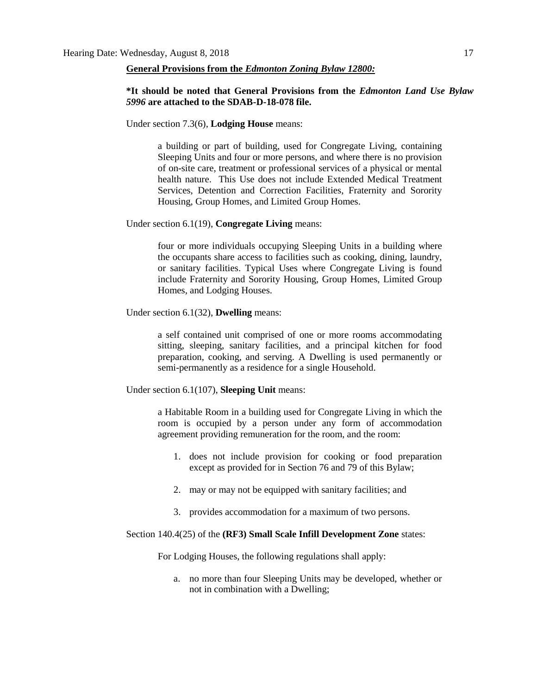#### **General Provisions from the** *Edmonton Zoning Bylaw 12800:*

# **\*It should be noted that General Provisions from the** *Edmonton Land Use Bylaw 5996* **are attached to the SDAB-D-18-078 file.**

Under section 7.3(6), **Lodging House** means:

a building or part of building, used for Congregate Living, containing Sleeping Units and four or more persons, and where there is no provision of on-site care, treatment or professional services of a physical or mental health nature. This Use does not include Extended Medical Treatment Services, Detention and Correction Facilities, Fraternity and Sorority Housing, Group Homes, and Limited Group Homes.

Under section 6.1(19), **Congregate Living** means:

four or more individuals occupying Sleeping Units in a building where the occupants share access to facilities such as cooking, dining, laundry, or sanitary facilities. Typical Uses where Congregate Living is found include Fraternity and Sorority Housing, Group Homes, Limited Group Homes, and Lodging Houses.

Under section 6.1(32), **Dwelling** means:

a self contained unit comprised of one or more rooms accommodating sitting, sleeping, sanitary facilities, and a principal kitchen for food preparation, cooking, and serving. A Dwelling is used permanently or semi-permanently as a residence for a single Household.

Under section 6.1(107), **Sleeping Unit** means:

a Habitable Room in a building used for Congregate Living in which the room is occupied by a person under any form of accommodation agreement providing remuneration for the room, and the room:

- 1. does not include provision for cooking or food preparation except as provided for in Section 76 and 79 of this Bylaw;
- 2. may or may not be equipped with sanitary facilities; and
- 3. provides accommodation for a maximum of two persons.

#### Section 140.4(25) of the **(RF3) Small Scale Infill Development Zone** states:

For Lodging Houses, the following regulations shall apply:

a. no more than four Sleeping Units may be developed, whether or not in combination with a Dwelling;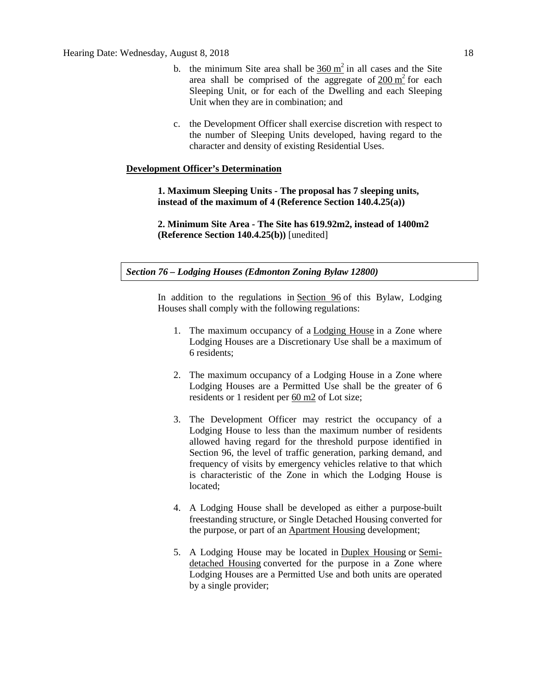- b. the minimum Site area shall be  $360 \text{ m}^2$  $360 \text{ m}^2$  in all cases and the Site area shall be comprised of the aggregate of  $200 \text{ m}^2$  $200 \text{ m}^2$  for each Sleeping Unit, or for each of the Dwelling and each Sleeping Unit when they are in combination; and
- c. the Development Officer shall exercise discretion with respect to the number of Sleeping Units developed, having regard to the character and density of existing Residential Uses.

# **Development Officer's Determination**

**1. Maximum Sleeping Units - The proposal has 7 sleeping units, instead of the maximum of 4 (Reference Section 140.4.25(a))**

**2. Minimum Site Area - The Site has 619.92m2, instead of 1400m2 (Reference Section 140.4.25(b))** [unedited]

# *Section 76 – Lodging Houses (Edmonton Zoning Bylaw 12800)*

In addition to the regulations in [Section 96](https://webdocs.edmonton.ca/InfraPlan/zoningbylaw/ZoningBylaw/Part1/Special_Land/96._Fraternity_and_Sorority_Housing,_Limited_Group_Homes,_Group_Homes,_and_Lodging_Houses_Thresholds.htm) of this Bylaw, Lodging Houses shall comply with the following regulations:

- 1. The maximum occupancy of a [Lodging House](javascript:void(0);) in a Zone where Lodging Houses are a Discretionary Use shall be a maximum of 6 residents;
- 2. The maximum occupancy of a Lodging House in a Zone where Lodging Houses are a Permitted Use shall be the greater of 6 residents or 1 resident per [60 m2](javascript:void(0);) of Lot size;
- 3. The Development Officer may restrict the occupancy of a Lodging House to less than the maximum number of residents allowed having regard for the threshold purpose identified in Section 96, the level of traffic generation, parking demand, and frequency of visits by emergency vehicles relative to that which is characteristic of the Zone in which the Lodging House is located;
- 4. A Lodging House shall be developed as either a purpose-built freestanding structure, or Single Detached Housing converted for the purpose, or part of an [Apartment Housing](javascript:void(0);) development;
- 5. A Lodging House may be located in [Duplex Housing](javascript:void(0);) or [Semi](javascript:void(0);)[detached Housing](javascript:void(0);) converted for the purpose in a Zone where Lodging Houses are a Permitted Use and both units are operated by a single provider;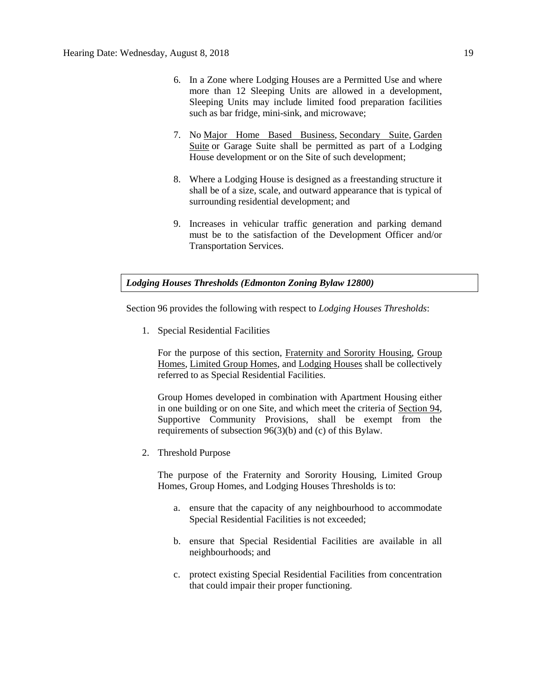- 6. In a Zone where Lodging Houses are a Permitted Use and where more than 12 Sleeping Units are allowed in a development, Sleeping Units may include limited food preparation facilities such as bar fridge, mini-sink, and microwave;
- 7. No [Major Home Based Business,](javascript:void(0);) [Secondary Suite,](javascript:void(0);) [Garden](javascript:void(0);)  [Suite](javascript:void(0);) or Garage Suite shall be permitted as part of a Lodging House development or on the Site of such development;
- 8. Where a Lodging House is designed as a freestanding structure it shall be of a size, scale, and outward appearance that is typical of surrounding residential development; and
- 9. Increases in vehicular traffic generation and parking demand must be to the satisfaction of the Development Officer and/or Transportation Services.

## *Lodging Houses Thresholds (Edmonton Zoning Bylaw 12800)*

Section 96 provides the following with respect to *Lodging Houses Thresholds*:

1. Special Residential Facilities

For the purpose of this section, [Fraternity and Sorority Housing, Group](javascript:void(0);)  [Homes, Limited Group Homes,](javascript:void(0);) and [Lodging Houses](javascript:void(0);) shall be collectively referred to as Special Residential Facilities.

Group Homes developed in combination with Apartment Housing either in one building or on one Site, and which meet the criteria of [Section 94,](http://webdocs.edmonton.ca/InfraPlan/zoningbylaw/ZoningBylaw/Part1/Special_Land/94._Supportive_Community_Provision.htm)  Supportive Community Provisions, shall be exempt from the requirements of subsection 96(3)(b) and (c) of this Bylaw.

2. Threshold Purpose

The purpose of the Fraternity and Sorority Housing, Limited Group Homes, Group Homes, and Lodging Houses Thresholds is to:

- a. ensure that the capacity of any neighbourhood to accommodate Special Residential Facilities is not exceeded;
- b. ensure that Special Residential Facilities are available in all neighbourhoods; and
- c. protect existing Special Residential Facilities from concentration that could impair their proper functioning.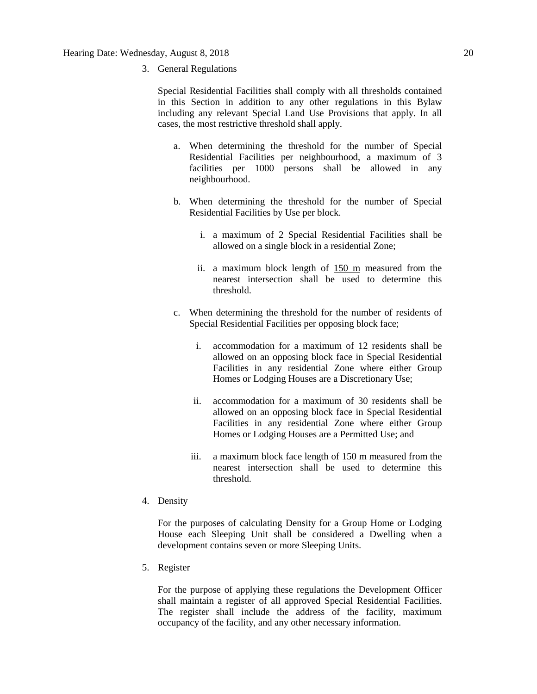3. General Regulations

Special Residential Facilities shall comply with all thresholds contained in this Section in addition to any other regulations in this Bylaw including any relevant Special Land Use Provisions that apply. In all cases, the most restrictive threshold shall apply.

- a. When determining the threshold for the number of Special Residential Facilities per neighbourhood, a maximum of 3 facilities per 1000 persons shall be allowed in any neighbourhood.
- b. When determining the threshold for the number of Special Residential Facilities by Use per block.
	- i. a maximum of 2 Special Residential Facilities shall be allowed on a single block in a residential Zone;
	- ii. a maximum block length of [150 m](javascript:void(0);) measured from the nearest intersection shall be used to determine this threshold.
- c. When determining the threshold for the number of residents of Special Residential Facilities per opposing block face;
	- i. accommodation for a maximum of 12 residents shall be allowed on an opposing block face in Special Residential Facilities in any residential Zone where either Group Homes or Lodging Houses are a Discretionary Use;
	- ii. accommodation for a maximum of 30 residents shall be allowed on an opposing block face in Special Residential Facilities in any residential Zone where either Group Homes or Lodging Houses are a Permitted Use; and
	- iii. a maximum block face length of [150 m](javascript:void(0);) measured from the nearest intersection shall be used to determine this threshold.
- 4. Density

For the purposes of calculating Density for a Group Home or Lodging House each Sleeping Unit shall be considered a Dwelling when a development contains seven or more Sleeping Units.

5. Register

For the purpose of applying these regulations the Development Officer shall maintain a register of all approved Special Residential Facilities. The register shall include the address of the facility, maximum occupancy of the facility, and any other necessary information.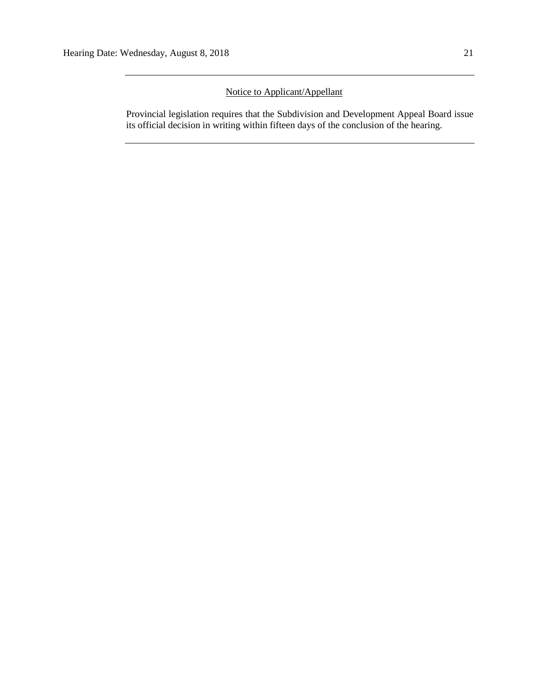# Notice to Applicant/Appellant

Provincial legislation requires that the Subdivision and Development Appeal Board issue its official decision in writing within fifteen days of the conclusion of the hearing.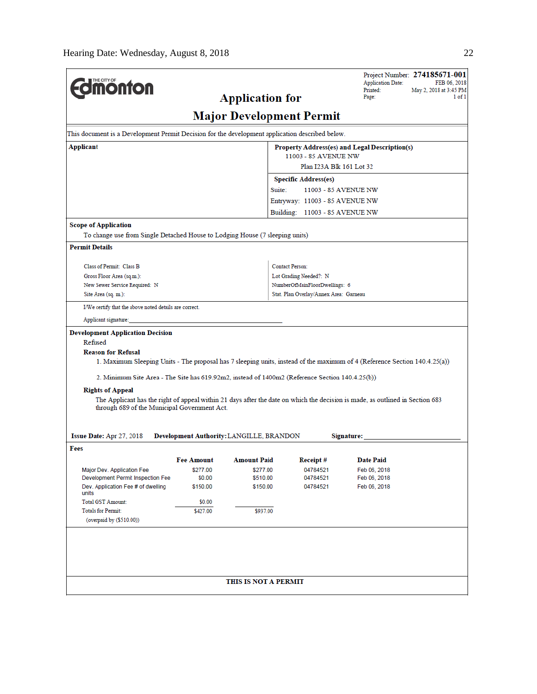|                                                                                                 |                                               |                                          |                                                                         | Project Number: 274185671-001<br><b>Application Date:</b><br>FEB 06, 2018                                                     |  |  |  |  |
|-------------------------------------------------------------------------------------------------|-----------------------------------------------|------------------------------------------|-------------------------------------------------------------------------|-------------------------------------------------------------------------------------------------------------------------------|--|--|--|--|
| <b><i><u><u><b>M</b>onton</u></u></i></b>                                                       |                                               |                                          |                                                                         | Printed:<br>May 2, 2018 at 3:45 PM<br>1 of 1                                                                                  |  |  |  |  |
|                                                                                                 |                                               | <b>Application for</b>                   |                                                                         | Page:                                                                                                                         |  |  |  |  |
|                                                                                                 |                                               | <b>Major Development Permit</b>          |                                                                         |                                                                                                                               |  |  |  |  |
| This document is a Development Permit Decision for the development application described below. |                                               |                                          |                                                                         |                                                                                                                               |  |  |  |  |
| Applicant                                                                                       | Property Address(es) and Legal Description(s) |                                          |                                                                         |                                                                                                                               |  |  |  |  |
|                                                                                                 | 11003 - 85 AVENUE NW                          |                                          |                                                                         |                                                                                                                               |  |  |  |  |
|                                                                                                 | Plan I23A Blk 161 Lot 32                      |                                          |                                                                         |                                                                                                                               |  |  |  |  |
|                                                                                                 |                                               |                                          | <b>Specific Address(es)</b><br>Suite:                                   | 11003 - 85 AVENUE NW                                                                                                          |  |  |  |  |
|                                                                                                 |                                               |                                          | Entryway: 11003 - 85 AVENUE NW                                          |                                                                                                                               |  |  |  |  |
|                                                                                                 |                                               |                                          | Building: 11003 - 85 AVENUE NW                                          |                                                                                                                               |  |  |  |  |
| <b>Scope of Application</b>                                                                     |                                               |                                          |                                                                         |                                                                                                                               |  |  |  |  |
| To change use from Single Detached House to Lodging House (7 sleeping units)                    |                                               |                                          |                                                                         |                                                                                                                               |  |  |  |  |
| <b>Permit Details</b>                                                                           |                                               |                                          |                                                                         |                                                                                                                               |  |  |  |  |
|                                                                                                 |                                               |                                          |                                                                         |                                                                                                                               |  |  |  |  |
| Class of Permit: Class B                                                                        |                                               |                                          | <b>Contact Person:</b>                                                  |                                                                                                                               |  |  |  |  |
| Gross Floor Area (sq.m.):                                                                       |                                               |                                          | Lot Grading Needed?: N                                                  |                                                                                                                               |  |  |  |  |
| New Sewer Service Required: N<br>Site Area (sq. m.):                                            |                                               |                                          | NumberOfMainFloorDwellings: 6<br>Stat. Plan Overlay/Annex Area: Garneau |                                                                                                                               |  |  |  |  |
| I/We certify that the above noted details are correct.                                          |                                               |                                          |                                                                         |                                                                                                                               |  |  |  |  |
|                                                                                                 |                                               |                                          |                                                                         |                                                                                                                               |  |  |  |  |
| Applicant signature:                                                                            |                                               |                                          |                                                                         |                                                                                                                               |  |  |  |  |
| <b>Development Application Decision</b><br>Refused                                              |                                               |                                          |                                                                         |                                                                                                                               |  |  |  |  |
| <b>Reason for Refusal</b>                                                                       |                                               |                                          |                                                                         |                                                                                                                               |  |  |  |  |
|                                                                                                 |                                               |                                          |                                                                         | 1. Maximum Sleeping Units - The proposal has 7 sleeping units, instead of the maximum of 4 (Reference Section 140.4.25(a))    |  |  |  |  |
| 2. Minimum Site Area - The Site has 619.92m2, instead of 1400m2 (Reference Section 140.4.25(b)) |                                               |                                          |                                                                         |                                                                                                                               |  |  |  |  |
| <b>Rights of Appeal</b>                                                                         |                                               |                                          |                                                                         |                                                                                                                               |  |  |  |  |
|                                                                                                 |                                               |                                          |                                                                         | The Applicant has the right of appeal within 21 days after the date on which the decision is made, as outlined in Section 683 |  |  |  |  |
| through 689 of the Municipal Government Act.                                                    |                                               |                                          |                                                                         |                                                                                                                               |  |  |  |  |
|                                                                                                 |                                               |                                          |                                                                         |                                                                                                                               |  |  |  |  |
| Issue Date: Apr 27, 2018                                                                        |                                               | Development Authority: LANGILLE, BRANDON |                                                                         | Signature:                                                                                                                    |  |  |  |  |
| Fees                                                                                            |                                               |                                          |                                                                         |                                                                                                                               |  |  |  |  |
|                                                                                                 |                                               | Fee Amount Amount Paid                   | Receipt#                                                                | Date Paid                                                                                                                     |  |  |  |  |
| Major Dev. Application Fee                                                                      | \$277.00                                      | \$277.00                                 | 04784521                                                                | Feb 06, 2018                                                                                                                  |  |  |  |  |
| Development Permit Inspection Fee                                                               | \$0.00                                        | \$510.00                                 | 04784521                                                                | Feb 06, 2018                                                                                                                  |  |  |  |  |
| Dev. Application Fee # of dwelling<br>units                                                     | \$150.00                                      | \$150.00                                 | 04784521                                                                | Feb 06, 2018                                                                                                                  |  |  |  |  |
| <b>Total GST Amount:</b>                                                                        | \$0.00                                        |                                          |                                                                         |                                                                                                                               |  |  |  |  |
| <b>Totals for Permit:</b>                                                                       | \$427.00                                      | \$937.00                                 |                                                                         |                                                                                                                               |  |  |  |  |
| (overpaid by (\$510.00))                                                                        |                                               |                                          |                                                                         |                                                                                                                               |  |  |  |  |
|                                                                                                 |                                               |                                          |                                                                         |                                                                                                                               |  |  |  |  |
|                                                                                                 |                                               |                                          |                                                                         |                                                                                                                               |  |  |  |  |
|                                                                                                 |                                               |                                          |                                                                         |                                                                                                                               |  |  |  |  |
|                                                                                                 |                                               |                                          |                                                                         |                                                                                                                               |  |  |  |  |
|                                                                                                 |                                               | THIS IS NOT A PERMIT                     |                                                                         |                                                                                                                               |  |  |  |  |
|                                                                                                 |                                               |                                          |                                                                         |                                                                                                                               |  |  |  |  |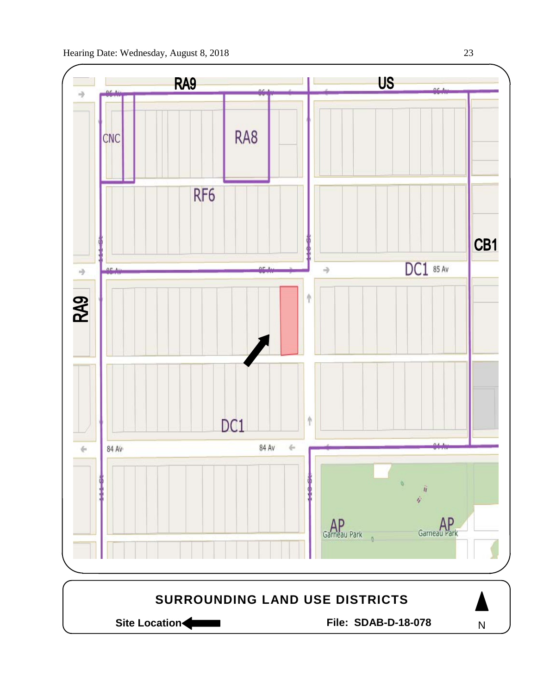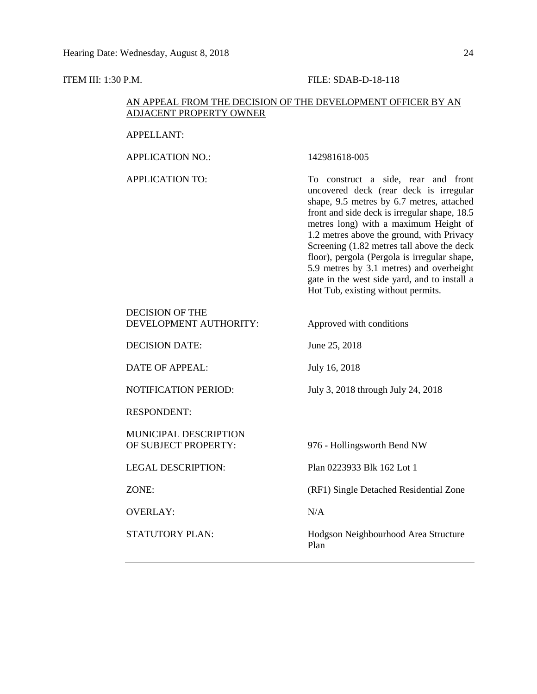# **ITEM III: 1:30 P.M. FILE: SDAB-D-18-118**

# AN APPEAL FROM THE DECISION OF THE DEVELOPMENT OFFICER BY AN ADJACENT PROPERTY OWNER

| <b>APPELLANT:</b>                                |                                                                                                                                                                                                                                                                                                                                                                                                                                                                                                  |
|--------------------------------------------------|--------------------------------------------------------------------------------------------------------------------------------------------------------------------------------------------------------------------------------------------------------------------------------------------------------------------------------------------------------------------------------------------------------------------------------------------------------------------------------------------------|
| <b>APPLICATION NO.:</b>                          | 142981618-005                                                                                                                                                                                                                                                                                                                                                                                                                                                                                    |
| <b>APPLICATION TO:</b>                           | To construct a side, rear and front<br>uncovered deck (rear deck is irregular<br>shape, 9.5 metres by 6.7 metres, attached<br>front and side deck is irregular shape, 18.5<br>metres long) with a maximum Height of<br>1.2 metres above the ground, with Privacy<br>Screening (1.82 metres tall above the deck<br>floor), pergola (Pergola is irregular shape,<br>5.9 metres by 3.1 metres) and overheight<br>gate in the west side yard, and to install a<br>Hot Tub, existing without permits. |
| <b>DECISION OF THE</b><br>DEVELOPMENT AUTHORITY: | Approved with conditions                                                                                                                                                                                                                                                                                                                                                                                                                                                                         |
| <b>DECISION DATE:</b>                            | June 25, 2018                                                                                                                                                                                                                                                                                                                                                                                                                                                                                    |
| <b>DATE OF APPEAL:</b>                           | July 16, 2018                                                                                                                                                                                                                                                                                                                                                                                                                                                                                    |
| <b>NOTIFICATION PERIOD:</b>                      | July 3, 2018 through July 24, 2018                                                                                                                                                                                                                                                                                                                                                                                                                                                               |
| <b>RESPONDENT:</b>                               |                                                                                                                                                                                                                                                                                                                                                                                                                                                                                                  |
| MUNICIPAL DESCRIPTION<br>OF SUBJECT PROPERTY:    | 976 - Hollingsworth Bend NW                                                                                                                                                                                                                                                                                                                                                                                                                                                                      |
| <b>LEGAL DESCRIPTION:</b>                        | Plan 0223933 Blk 162 Lot 1                                                                                                                                                                                                                                                                                                                                                                                                                                                                       |
| ZONE:                                            | (RF1) Single Detached Residential Zone                                                                                                                                                                                                                                                                                                                                                                                                                                                           |
| <b>OVERLAY:</b>                                  | N/A                                                                                                                                                                                                                                                                                                                                                                                                                                                                                              |
| <b>STATUTORY PLAN:</b>                           | Hodgson Neighbourhood Area Structure<br>Plan                                                                                                                                                                                                                                                                                                                                                                                                                                                     |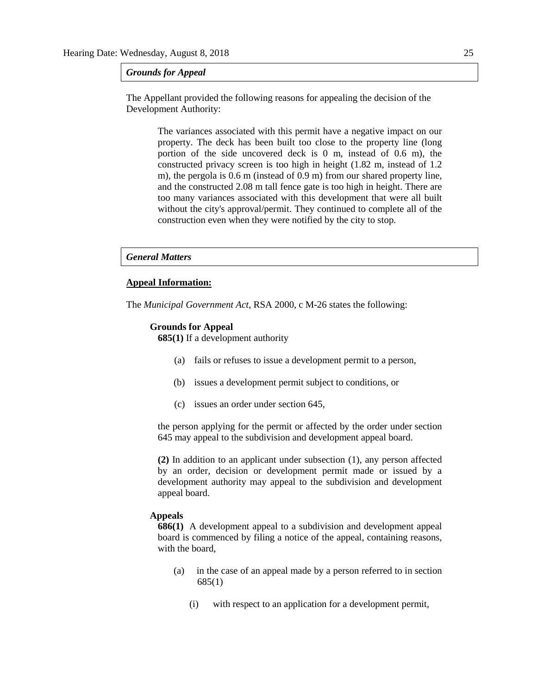*Grounds for Appeal*

The Appellant provided the following reasons for appealing the decision of the Development Authority:

> The variances associated with this permit have a negative impact on our property. The deck has been built too close to the property line (long portion of the side uncovered deck is 0 m, instead of 0.6 m), the constructed privacy screen is too high in height (1.82 m, instead of 1.2 m), the pergola is 0.6 m (instead of 0.9 m) from our shared property line, and the constructed 2.08 m tall fence gate is too high in height. There are too many variances associated with this development that were all built without the city's approval/permit. They continued to complete all of the construction even when they were notified by the city to stop.

#### *General Matters*

#### **Appeal Information:**

The *Municipal Government Act*, RSA 2000, c M-26 states the following:

#### **Grounds for Appeal**

**685(1)** If a development authority

- (a) fails or refuses to issue a development permit to a person,
- (b) issues a development permit subject to conditions, or
- (c) issues an order under section 645,

the person applying for the permit or affected by the order under section 645 may appeal to the subdivision and development appeal board.

**(2)** In addition to an applicant under subsection (1), any person affected by an order, decision or development permit made or issued by a development authority may appeal to the subdivision and development appeal board.

#### **Appeals**

**686(1)** A development appeal to a subdivision and development appeal board is commenced by filing a notice of the appeal, containing reasons, with the board,

- (a) in the case of an appeal made by a person referred to in section 685(1)
	- (i) with respect to an application for a development permit,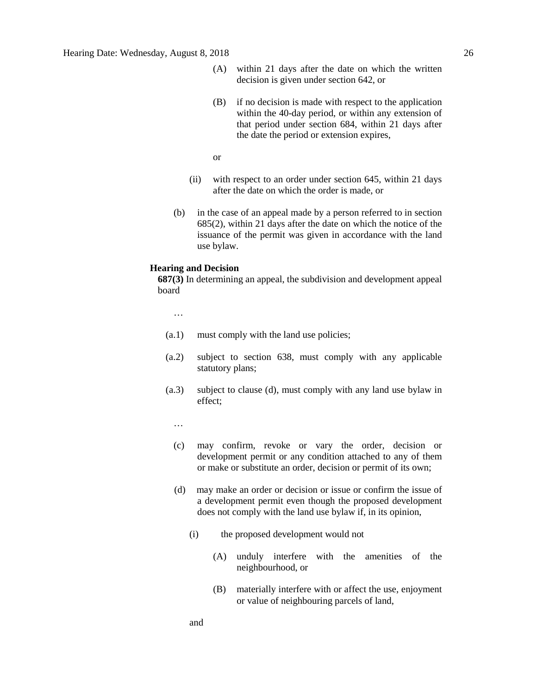- (A) within 21 days after the date on which the written decision is given under section 642, or
- (B) if no decision is made with respect to the application within the 40-day period, or within any extension of that period under section 684, within 21 days after the date the period or extension expires,

or

- (ii) with respect to an order under section 645, within 21 days after the date on which the order is made, or
- (b) in the case of an appeal made by a person referred to in section 685(2), within 21 days after the date on which the notice of the issuance of the permit was given in accordance with the land use bylaw.

#### **Hearing and Decision**

**687(3)** In determining an appeal, the subdivision and development appeal board

…

- (a.1) must comply with the land use policies;
- (a.2) subject to section 638, must comply with any applicable statutory plans;
- (a.3) subject to clause (d), must comply with any land use bylaw in effect;

…

- (c) may confirm, revoke or vary the order, decision or development permit or any condition attached to any of them or make or substitute an order, decision or permit of its own;
- (d) may make an order or decision or issue or confirm the issue of a development permit even though the proposed development does not comply with the land use bylaw if, in its opinion,
	- (i) the proposed development would not
		- (A) unduly interfere with the amenities of the neighbourhood, or
		- (B) materially interfere with or affect the use, enjoyment or value of neighbouring parcels of land,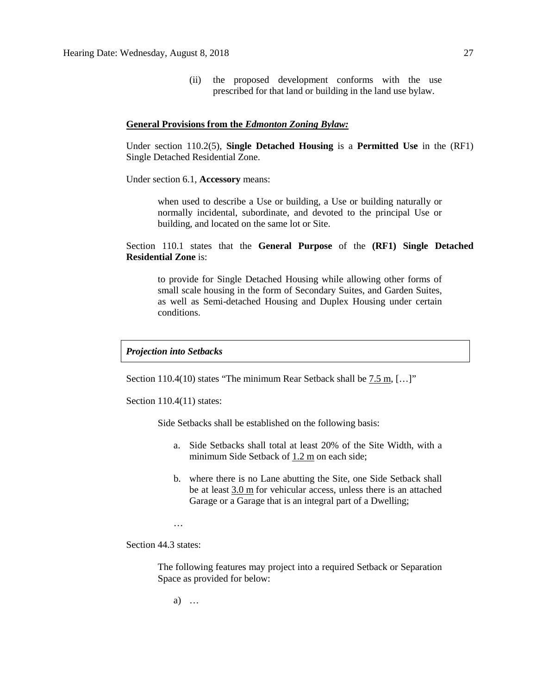(ii) the proposed development conforms with the use prescribed for that land or building in the land use bylaw.

#### **General Provisions from the** *Edmonton Zoning Bylaw:*

Under section 110.2(5), **Single Detached Housing** is a **Permitted Use** in the (RF1) Single Detached Residential Zone.

Under section 6.1, **Accessory** means:

when used to describe a Use or building, a Use or building naturally or normally incidental, subordinate, and devoted to the principal Use or building, and located on the same lot or Site.

Section 110.1 states that the **General Purpose** of the **(RF1) Single Detached Residential Zone** is:

to provide for Single Detached Housing while allowing other forms of small scale housing in the form of Secondary Suites, and Garden Suites, as well as Semi-detached Housing and Duplex Housing under certain conditions.

*Projection into Setbacks* 

Section 110.4(10) states "The minimum Rear Setback shall be  $7.5$  m,  $[...]$ "

Section 110.4(11) states:

Side Setbacks shall be established on the following basis:

- a. Side Setbacks shall total at least 20% of the Site Width, with a minimum Side Setback of [1.2](javascript:void(0);) m on each side;
- b. where there is no Lane abutting the Site, one Side Setback shall be at least [3.0](javascript:void(0);) m for vehicular access, unless there is an attached Garage or a Garage that is an integral part of a Dwelling;
- …

Section 44.3 states:

The following features may project into a required Setback or Separation Space as provided for below:

a) …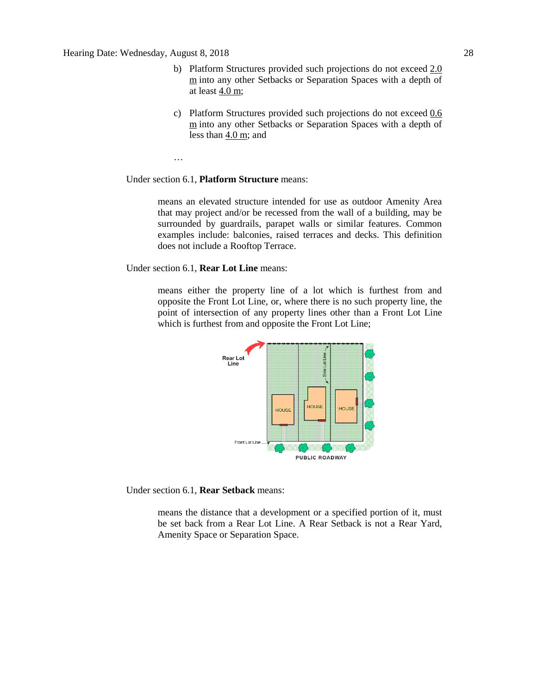- b) Platform Structures provided such projections do not exceed [2.0](javascript:void(0);)  [m](javascript:void(0);) into any other Setbacks or Separation Spaces with a depth of at least  $4.0 \text{ m}$ ;
- c) Platform Structures provided such projections do not exceed [0.6](javascript:void(0);)  [m](javascript:void(0);) into any other Setbacks or Separation Spaces with a depth of less than [4.0 m;](javascript:void(0);) and

…

## Under section 6.1, **Platform Structure** means:

means an elevated structure intended for use as outdoor Amenity Area that may project and/or be recessed from the wall of a building, may be surrounded by guardrails, parapet walls or similar features. Common examples include: balconies, raised terraces and decks. This definition does not include a Rooftop Terrace.

Under section 6.1, **Rear Lot Line** means:

means either the property line of a lot which is furthest from and opposite the Front Lot Line, or, where there is no such property line, the point of intersection of any property lines other than a Front Lot Line which is furthest from and opposite the Front Lot Line;



Under section 6.1, **Rear Setback** means:

means the distance that a development or a specified portion of it, must be set back from a Rear Lot Line. A Rear Setback is not a Rear Yard, Amenity Space or Separation Space.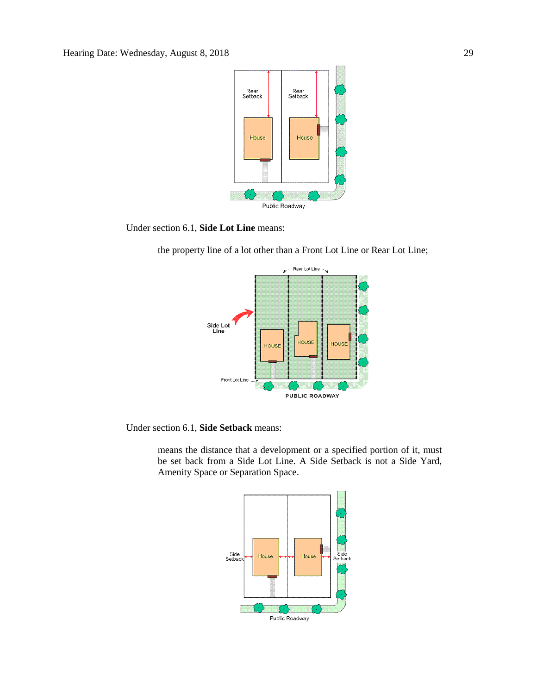

Under section 6.1, **Side Lot Line** means:



the property line of a lot other than a Front Lot Line or Rear Lot Line;

Under section 6.1, **Side Setback** means:

means the distance that a development or a specified portion of it, must be set back from a Side Lot Line. A Side Setback is not a Side Yard, Amenity Space or Separation Space.

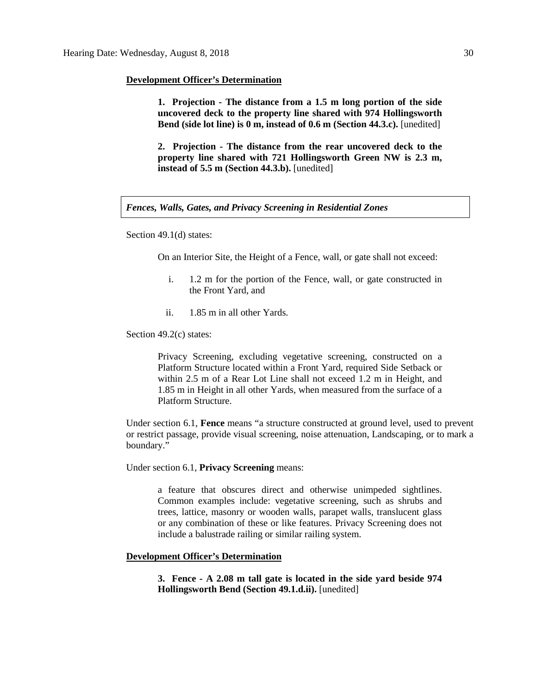#### **Development Officer's Determination**

**1. Projection - The distance from a 1.5 m long portion of the side uncovered deck to the property line shared with 974 Hollingsworth Bend (side lot line) is 0 m, instead of 0.6 m (Section 44.3.c).** [unedited]

**2. Projection - The distance from the rear uncovered deck to the property line shared with 721 Hollingsworth Green NW is 2.3 m, instead of 5.5 m (Section 44.3.b).** [unedited]

*Fences, Walls, Gates, and Privacy Screening in Residential Zones* 

Section 49.1(d) states:

On an Interior Site, the Height of a Fence, wall, or gate shall not exceed:

- i. 1.2 m for the portion of the Fence, wall, or gate constructed in the Front Yard, and
- ii. 1.85 m in all other Yards.

Section 49.2(c) states:

Privacy Screening, excluding vegetative screening, constructed on a Platform Structure located within a Front Yard, required Side Setback or within 2.5 m of a Rear Lot Line shall not exceed 1.2 m in Height, and 1.85 m in Height in all other Yards, when measured from the surface of a Platform Structure.

Under section 6.1, **Fence** means "a structure constructed at ground level, used to prevent or restrict passage, provide visual screening, noise attenuation, Landscaping, or to mark a boundary."

Under section 6.1, **Privacy Screening** means:

a feature that obscures direct and otherwise unimpeded sightlines. Common examples include: vegetative screening, such as shrubs and trees, lattice, masonry or wooden walls, parapet walls, translucent glass or any combination of these or like features. Privacy Screening does not include a balustrade railing or similar railing system.

#### **Development Officer's Determination**

**3. Fence - A 2.08 m tall gate is located in the side yard beside 974 Hollingsworth Bend (Section 49.1.d.ii).** [unedited]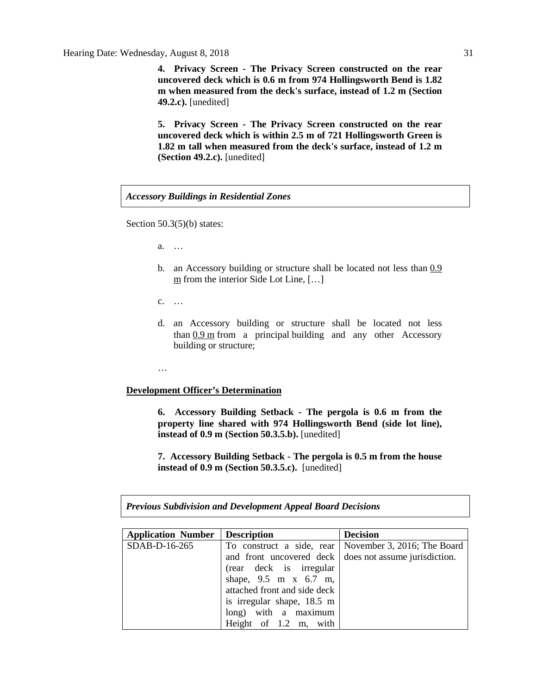**4. Privacy Screen - The Privacy Screen constructed on the rear uncovered deck which is 0.6 m from 974 Hollingsworth Bend is 1.82 m when measured from the deck's surface, instead of 1.2 m (Section 49.2.c).** [unedited]

**5. Privacy Screen - The Privacy Screen constructed on the rear uncovered deck which is within 2.5 m of 721 Hollingsworth Green is 1.82 m tall when measured from the deck's surface, instead of 1.2 m (Section 49.2.c).** [unedited]

*Accessory Buildings in Residential Zones*

Section 50.3(5)(b) states:

- a. …
- b. an Accessory building or structure shall be located not less than  $0.9$ [m](javascript:void(0);) from the interior Side Lot Line, [...]
- c. …
- d. an Accessory building or structure shall be located not less than [0.9](javascript:void(0);) m from a principal building and any other Accessory building or structure;
- …

### **Development Officer's Determination**

**6. Accessory Building Setback - The pergola is 0.6 m from the property line shared with 974 Hollingsworth Bend (side lot line), instead of 0.9 m (Section 50.3.5.b).** [unedited]

**7. Accessory Building Setback - The pergola is 0.5 m from the house instead of 0.9 m (Section 50.3.5.c).** [unedited]

*Previous Subdivision and Development Appeal Board Decisions*

| <b>Application Number</b> | Description                  | <b>Decision</b>                                         |
|---------------------------|------------------------------|---------------------------------------------------------|
| SDAB-D-16-265             |                              | To construct a side, rear   November 3, 2016; The Board |
|                           |                              | and front uncovered deck does not assume jurisdiction.  |
|                           | (rear deck is irregular      |                                                         |
|                           | shape, 9.5 m x 6.7 m,        |                                                         |
|                           | attached front and side deck |                                                         |
|                           | is irregular shape, 18.5 m   |                                                         |
|                           | long) with a maximum         |                                                         |
|                           | Height of 1.2 m, with        |                                                         |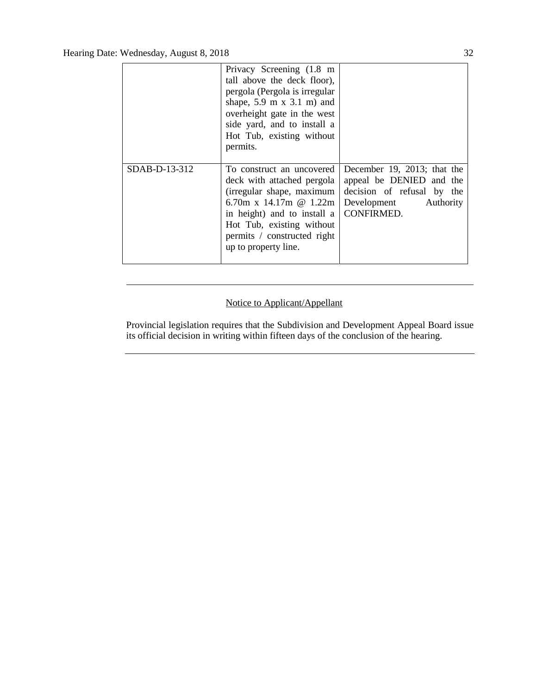|               | Privacy Screening (1.8 m<br>tall above the deck floor),<br>pergola (Pergola is irregular<br>shape, $5.9 \text{ m} \times 3.1 \text{ m}$ ) and<br>overheight gate in the west<br>side yard, and to install a<br>Hot Tub, existing without<br>permits. |                                                                                                                              |
|---------------|------------------------------------------------------------------------------------------------------------------------------------------------------------------------------------------------------------------------------------------------------|------------------------------------------------------------------------------------------------------------------------------|
| SDAB-D-13-312 | To construct an uncovered<br>deck with attached pergola<br>(irregular shape, maximum<br>6.70m x 14.17m $@$ 1.22m<br>in height) and to install a<br>Hot Tub, existing without<br>permits / constructed right<br>up to property line.                  | December 19, 2013; that the<br>appeal be DENIED and the<br>decision of refusal by the<br>Development Authority<br>CONFIRMED. |

# Notice to Applicant/Appellant

Provincial legislation requires that the Subdivision and Development Appeal Board issue its official decision in writing within fifteen days of the conclusion of the hearing.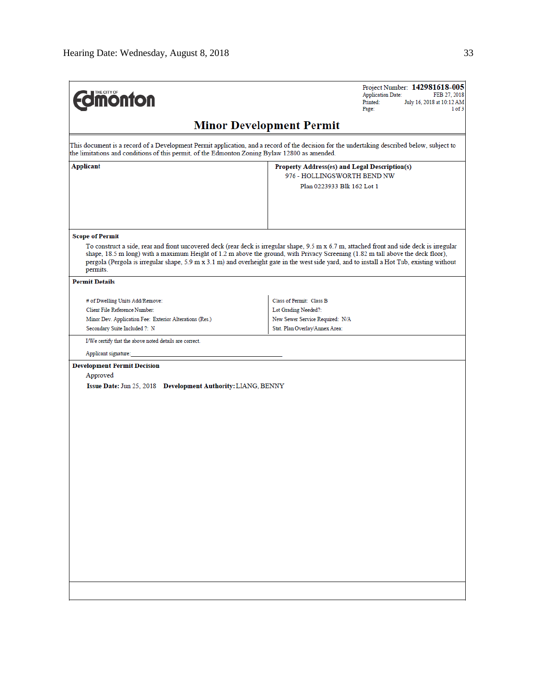| <b><i><u><u><b>M</b>onton</u></u></i></b>                                                     | Project Number: 142981618-005<br><b>Application Date:</b><br>FEB 27, 2018<br>July 16, 2018 at 10:12 AM<br>Printed:<br>Page:<br>1 of 3                                                                                                                                                                                                                                                                                      |  |  |  |  |  |
|-----------------------------------------------------------------------------------------------|----------------------------------------------------------------------------------------------------------------------------------------------------------------------------------------------------------------------------------------------------------------------------------------------------------------------------------------------------------------------------------------------------------------------------|--|--|--|--|--|
| <b>Minor Development Permit</b>                                                               |                                                                                                                                                                                                                                                                                                                                                                                                                            |  |  |  |  |  |
| the limitations and conditions of this permit, of the Edmonton Zoning Bylaw 12800 as amended. | This document is a record of a Development Permit application, and a record of the decision for the undertaking described below, subject to                                                                                                                                                                                                                                                                                |  |  |  |  |  |
| Applicant                                                                                     | Property Address(es) and Legal Description(s)                                                                                                                                                                                                                                                                                                                                                                              |  |  |  |  |  |
|                                                                                               | 976 - HOLLINGSWORTH BEND NW                                                                                                                                                                                                                                                                                                                                                                                                |  |  |  |  |  |
|                                                                                               | Plan 0223933 Blk 162 Lot 1                                                                                                                                                                                                                                                                                                                                                                                                 |  |  |  |  |  |
|                                                                                               |                                                                                                                                                                                                                                                                                                                                                                                                                            |  |  |  |  |  |
| <b>Scope of Permit</b>                                                                        |                                                                                                                                                                                                                                                                                                                                                                                                                            |  |  |  |  |  |
| permits.                                                                                      | To construct a side, rear and front uncovered deck (rear deck is irregular shape, 9.5 m x 6.7 m, attached front and side deck is irregular<br>shape, 18.5 m long) with a maximum Height of 1.2 m above the ground, with Privacy Screening (1.82 m tall above the deck floor),<br>pergola (Pergola is irregular shape, 5.9 m x 3.1 m) and overheight gate in the west side yard, and to install a Hot Tub, existing without |  |  |  |  |  |
| <b>Permit Details</b>                                                                         |                                                                                                                                                                                                                                                                                                                                                                                                                            |  |  |  |  |  |
| # of Dwelling Units Add/Remove:                                                               | Class of Permit: Class B                                                                                                                                                                                                                                                                                                                                                                                                   |  |  |  |  |  |
| Client File Reference Number:                                                                 | Lot Grading Needed?:                                                                                                                                                                                                                                                                                                                                                                                                       |  |  |  |  |  |
| Minor Dev. Application Fee: Exterior Alterations (Res.)                                       | New Sewer Service Required: N/A                                                                                                                                                                                                                                                                                                                                                                                            |  |  |  |  |  |
| Secondary Suite Included ?: N                                                                 | Stat. Plan Overlay/Annex Area:                                                                                                                                                                                                                                                                                                                                                                                             |  |  |  |  |  |
| I/We certify that the above noted details are correct.                                        |                                                                                                                                                                                                                                                                                                                                                                                                                            |  |  |  |  |  |
| Applicant signature:                                                                          |                                                                                                                                                                                                                                                                                                                                                                                                                            |  |  |  |  |  |
| <b>Development Permit Decision</b>                                                            |                                                                                                                                                                                                                                                                                                                                                                                                                            |  |  |  |  |  |
| Approved                                                                                      |                                                                                                                                                                                                                                                                                                                                                                                                                            |  |  |  |  |  |
| Issue Date: Jun 25, 2018 Development Authority: LIANG, BENNY                                  |                                                                                                                                                                                                                                                                                                                                                                                                                            |  |  |  |  |  |
|                                                                                               |                                                                                                                                                                                                                                                                                                                                                                                                                            |  |  |  |  |  |
|                                                                                               |                                                                                                                                                                                                                                                                                                                                                                                                                            |  |  |  |  |  |
|                                                                                               |                                                                                                                                                                                                                                                                                                                                                                                                                            |  |  |  |  |  |
|                                                                                               |                                                                                                                                                                                                                                                                                                                                                                                                                            |  |  |  |  |  |
|                                                                                               |                                                                                                                                                                                                                                                                                                                                                                                                                            |  |  |  |  |  |
|                                                                                               |                                                                                                                                                                                                                                                                                                                                                                                                                            |  |  |  |  |  |
|                                                                                               |                                                                                                                                                                                                                                                                                                                                                                                                                            |  |  |  |  |  |
|                                                                                               |                                                                                                                                                                                                                                                                                                                                                                                                                            |  |  |  |  |  |
|                                                                                               |                                                                                                                                                                                                                                                                                                                                                                                                                            |  |  |  |  |  |
|                                                                                               |                                                                                                                                                                                                                                                                                                                                                                                                                            |  |  |  |  |  |
|                                                                                               |                                                                                                                                                                                                                                                                                                                                                                                                                            |  |  |  |  |  |
|                                                                                               |                                                                                                                                                                                                                                                                                                                                                                                                                            |  |  |  |  |  |
|                                                                                               |                                                                                                                                                                                                                                                                                                                                                                                                                            |  |  |  |  |  |
|                                                                                               |                                                                                                                                                                                                                                                                                                                                                                                                                            |  |  |  |  |  |
|                                                                                               |                                                                                                                                                                                                                                                                                                                                                                                                                            |  |  |  |  |  |
|                                                                                               |                                                                                                                                                                                                                                                                                                                                                                                                                            |  |  |  |  |  |
|                                                                                               |                                                                                                                                                                                                                                                                                                                                                                                                                            |  |  |  |  |  |
|                                                                                               |                                                                                                                                                                                                                                                                                                                                                                                                                            |  |  |  |  |  |
|                                                                                               |                                                                                                                                                                                                                                                                                                                                                                                                                            |  |  |  |  |  |
|                                                                                               |                                                                                                                                                                                                                                                                                                                                                                                                                            |  |  |  |  |  |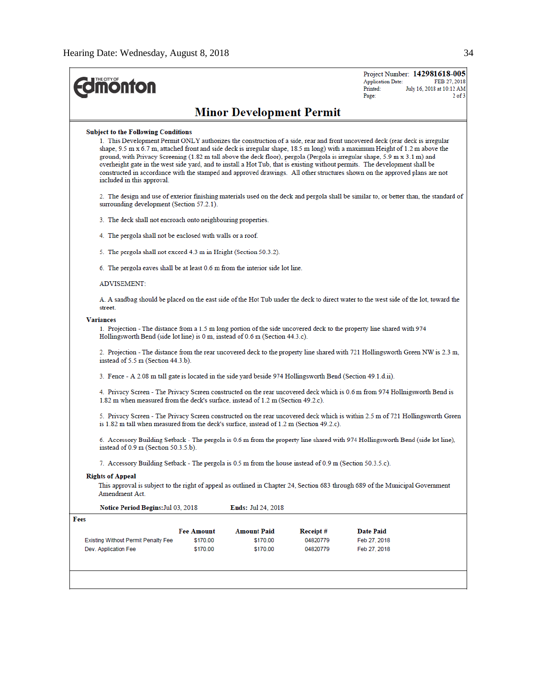| <b>MOnton</b>                                                                                                                                                                                                                                                     |                                                                                                              |                                            |                                  | Project Number: 142981618-005<br><b>Application Date:</b><br>FEB 27, 2018<br>July 16, 2018 at 10:12 AM<br>Printed:<br>$2$ of $3$<br>Page:                                                                                                                                                                                                                                                                                                                                                                                                                                                                                                               |  |
|-------------------------------------------------------------------------------------------------------------------------------------------------------------------------------------------------------------------------------------------------------------------|--------------------------------------------------------------------------------------------------------------|--------------------------------------------|----------------------------------|---------------------------------------------------------------------------------------------------------------------------------------------------------------------------------------------------------------------------------------------------------------------------------------------------------------------------------------------------------------------------------------------------------------------------------------------------------------------------------------------------------------------------------------------------------------------------------------------------------------------------------------------------------|--|
|                                                                                                                                                                                                                                                                   |                                                                                                              | <b>Minor Development Permit</b>            |                                  |                                                                                                                                                                                                                                                                                                                                                                                                                                                                                                                                                                                                                                                         |  |
| <b>Subject to the Following Conditions</b><br>included in this approval.                                                                                                                                                                                          |                                                                                                              |                                            |                                  | 1. This Development Permit ONLY authorizes the construction of a side, rear and front uncovered deck (rear deck is irregular<br>shape, 9.5 m x 6.7 m, attached front and side deck is irregular shape, 18.5 m long) with a maximum Height of 1.2 m above the<br>ground, with Privacy Screening (1.82 m tall above the deck floor), pergola (Pergola is irregular shape, 5.9 m x 3.1 m) and<br>overheight gate in the west side yard, and to install a Hot Tub, that is existing without permits. The development shall be<br>constructed in accordance with the stamped and approved drawings. All other structures shown on the approved plans are not |  |
| surrounding development (Section 57.2.1).                                                                                                                                                                                                                         |                                                                                                              |                                            |                                  | 2. The design and use of exterior finishing materials used on the deck and pergola shall be similar to, or better than, the standard of                                                                                                                                                                                                                                                                                                                                                                                                                                                                                                                 |  |
| 3. The deck shall not encroach onto neighbouring properties.                                                                                                                                                                                                      |                                                                                                              |                                            |                                  |                                                                                                                                                                                                                                                                                                                                                                                                                                                                                                                                                                                                                                                         |  |
| 4. The pergola shall not be enclosed with walls or a roof.                                                                                                                                                                                                        |                                                                                                              |                                            |                                  |                                                                                                                                                                                                                                                                                                                                                                                                                                                                                                                                                                                                                                                         |  |
| 5. The pergola shall not exceed 4.3 m in Height (Section 50.3.2).                                                                                                                                                                                                 |                                                                                                              |                                            |                                  |                                                                                                                                                                                                                                                                                                                                                                                                                                                                                                                                                                                                                                                         |  |
| 6. The pergola eaves shall be at least 0.6 m from the interior side lot line.                                                                                                                                                                                     |                                                                                                              |                                            |                                  |                                                                                                                                                                                                                                                                                                                                                                                                                                                                                                                                                                                                                                                         |  |
| <b>ADVISEMENT:</b>                                                                                                                                                                                                                                                |                                                                                                              |                                            |                                  |                                                                                                                                                                                                                                                                                                                                                                                                                                                                                                                                                                                                                                                         |  |
| street.                                                                                                                                                                                                                                                           |                                                                                                              |                                            |                                  | A. A sandbag should be placed on the east side of the Hot Tub under the deck to direct water to the west side of the lot, toward the                                                                                                                                                                                                                                                                                                                                                                                                                                                                                                                    |  |
| <b>Variances</b><br>1. Projection - The distance from a 1.5 m long portion of the side uncovered deck to the property line shared with 974<br>Hollingsworth Bend (side lot line) is 0 m, instead of 0.6 m (Section 44.3.c).<br>instead of 5.5 m (Section 44.3.b). |                                                                                                              |                                            |                                  | 2. Projection - The distance from the rear uncovered deck to the property line shared with 721 Hollingsworth Green NW is 2.3 m,                                                                                                                                                                                                                                                                                                                                                                                                                                                                                                                         |  |
|                                                                                                                                                                                                                                                                   | 3. Fence - A 2.08 m tall gate is located in the side yard beside 974 Hollingsworth Bend (Section 49.1.d.ii). |                                            |                                  |                                                                                                                                                                                                                                                                                                                                                                                                                                                                                                                                                                                                                                                         |  |
| 1.82 m when measured from the deck's surface, instead of 1.2 m (Section 49.2.c).                                                                                                                                                                                  |                                                                                                              |                                            |                                  | 4. Privacy Screen - The Privacy Screen constructed on the rear uncovered deck which is 0.6 m from 974 Hollnigsworth Bend is                                                                                                                                                                                                                                                                                                                                                                                                                                                                                                                             |  |
| is 1.82 m tall when measured from the deck's surface, instead of 1.2 m (Section 49.2.c).                                                                                                                                                                          |                                                                                                              |                                            |                                  | 5. Privacy Screen - The Privacy Screen constructed on the rear uncovered deck which is within 2.5 m of 721 Hollingsworth Green                                                                                                                                                                                                                                                                                                                                                                                                                                                                                                                          |  |
| instead of 0.9 m (Section 50.3.5.b).                                                                                                                                                                                                                              |                                                                                                              |                                            |                                  | 6. Accessory Building Setback - The pergola is 0.6 m from the property line shared with 974 Hollingsworth Bend (side lot line),                                                                                                                                                                                                                                                                                                                                                                                                                                                                                                                         |  |
| 7. Accessory Building Setback - The pergola is 0.5 m from the house instead of 0.9 m (Section 50.3.5.c).                                                                                                                                                          |                                                                                                              |                                            |                                  |                                                                                                                                                                                                                                                                                                                                                                                                                                                                                                                                                                                                                                                         |  |
| <b>Rights of Appeal</b><br>Amendment Act.                                                                                                                                                                                                                         |                                                                                                              |                                            |                                  | This approval is subject to the right of appeal as outlined in Chapter 24, Section 683 through 689 of the Municipal Government                                                                                                                                                                                                                                                                                                                                                                                                                                                                                                                          |  |
| <b>Notice Period Begins: Jul 03, 2018</b>                                                                                                                                                                                                                         |                                                                                                              | <b>Ends: Jul 24, 2018</b>                  |                                  |                                                                                                                                                                                                                                                                                                                                                                                                                                                                                                                                                                                                                                                         |  |
| Fees                                                                                                                                                                                                                                                              |                                                                                                              |                                            |                                  |                                                                                                                                                                                                                                                                                                                                                                                                                                                                                                                                                                                                                                                         |  |
| Existing Without Permit Penalty Fee<br>Dev. Application Fee                                                                                                                                                                                                       | <b>Fee Amount</b><br>\$170.00<br>\$170.00                                                                    | <b>Amount Paid</b><br>\$170.00<br>\$170.00 | Receipt#<br>04820779<br>04820779 | <b>Date Paid</b><br>Feb 27, 2018<br>Feb 27, 2018                                                                                                                                                                                                                                                                                                                                                                                                                                                                                                                                                                                                        |  |
|                                                                                                                                                                                                                                                                   |                                                                                                              |                                            |                                  |                                                                                                                                                                                                                                                                                                                                                                                                                                                                                                                                                                                                                                                         |  |
|                                                                                                                                                                                                                                                                   |                                                                                                              |                                            |                                  |                                                                                                                                                                                                                                                                                                                                                                                                                                                                                                                                                                                                                                                         |  |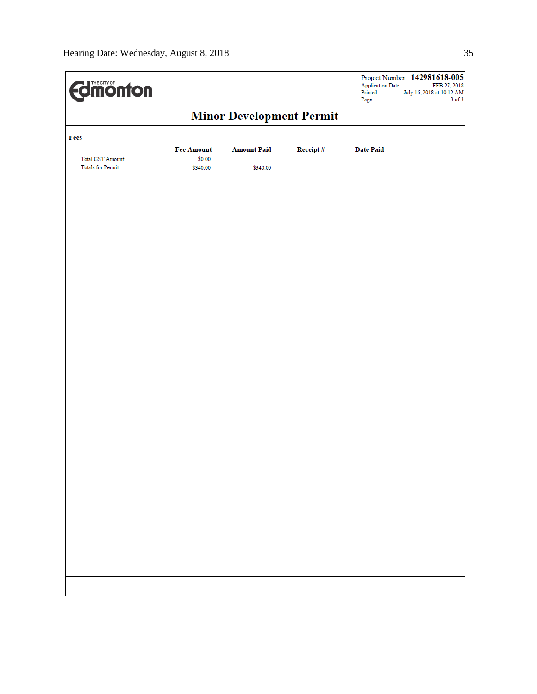| <b>dimonton</b>                                |                                 |                    |          | Project Number: 142981618-005<br>Application Date:<br>FEB 27, 2018<br>Printed:<br>July 16, 2018 at 10:12 AM<br>$3$ of $3$<br>Page: |
|------------------------------------------------|---------------------------------|--------------------|----------|------------------------------------------------------------------------------------------------------------------------------------|
|                                                | <b>Minor Development Permit</b> |                    |          |                                                                                                                                    |
| Fees                                           | <b>Fee Amount</b>               | <b>Amount Paid</b> | Receipt# | <b>Date Paid</b>                                                                                                                   |
| Total GST Amount:<br><b>Totals for Permit:</b> | \$0.00<br>\$340.00              | \$340.00           |          |                                                                                                                                    |
|                                                |                                 |                    |          |                                                                                                                                    |
|                                                |                                 |                    |          |                                                                                                                                    |
|                                                |                                 |                    |          |                                                                                                                                    |
|                                                |                                 |                    |          |                                                                                                                                    |
|                                                |                                 |                    |          |                                                                                                                                    |
|                                                |                                 |                    |          |                                                                                                                                    |
|                                                |                                 |                    |          |                                                                                                                                    |
|                                                |                                 |                    |          |                                                                                                                                    |
|                                                |                                 |                    |          |                                                                                                                                    |
|                                                |                                 |                    |          |                                                                                                                                    |
|                                                |                                 |                    |          |                                                                                                                                    |
|                                                |                                 |                    |          |                                                                                                                                    |
|                                                |                                 |                    |          |                                                                                                                                    |
|                                                |                                 |                    |          |                                                                                                                                    |
|                                                |                                 |                    |          |                                                                                                                                    |
|                                                |                                 |                    |          |                                                                                                                                    |